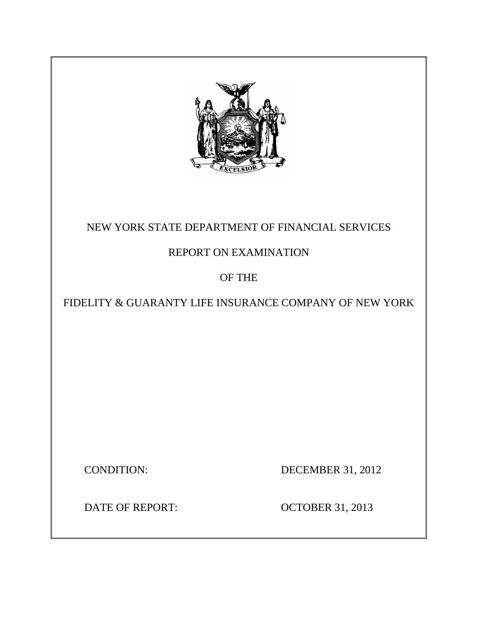

# NEW YORK STATE DEPARTMENT OF FINANCIAL SERVICES

# REPORT ON EXAMINATION

# OF THE

# FIDELITY & GUARANTY LIFE INSURANCE COMPANY OF NEW YORK

CONDITION: DECEMBER 31, 2012

DATE OF REPORT: OCTOBER 31, 2013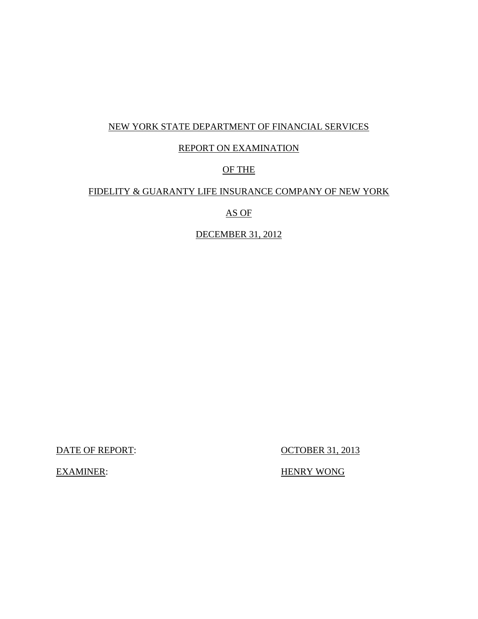## NEW YORK STATE DEPARTMENT OF FINANCIAL SERVICES

## REPORT ON EXAMINATION

# OF THE

## FIDELITY & GUARANTY LIFE INSURANCE COMPANY OF NEW YORK

## AS OF

## DECEMBER 31, 2012

DATE OF REPORT: OCTOBER 31, 2013

EXAMINER: HENRY WONG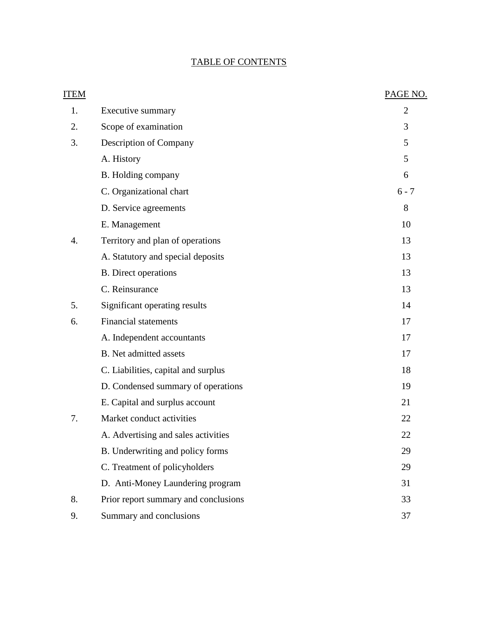# TABLE OF CONTENTS

| ITEM |                                      | PAGE NO.       |
|------|--------------------------------------|----------------|
| 1.   | Executive summary                    | $\overline{2}$ |
| 2.   | Scope of examination                 | 3              |
| 3.   | Description of Company               | 5              |
|      | A. History                           | 5              |
|      | B. Holding company                   | 6              |
|      | C. Organizational chart              | $6 - 7$        |
|      | D. Service agreements                | 8              |
|      | E. Management                        | 10             |
| 4.   | Territory and plan of operations     | 13             |
|      | A. Statutory and special deposits    | 13             |
|      | <b>B.</b> Direct operations          | 13             |
|      | C. Reinsurance                       | 13             |
| 5.   | Significant operating results        | 14             |
| 6.   | <b>Financial statements</b>          | 17             |
|      | A. Independent accountants           | 17             |
|      | <b>B.</b> Net admitted assets        | 17             |
|      | C. Liabilities, capital and surplus  | 18             |
|      | D. Condensed summary of operations   | 19             |
|      | E. Capital and surplus account       | 21             |
| 7.   | Market conduct activities            | 22             |
|      | A. Advertising and sales activities  | 22             |
|      | B. Underwriting and policy forms     | 29             |
|      | C. Treatment of policyholders        | 29             |
|      | D. Anti-Money Laundering program     | 31             |
| 8.   | Prior report summary and conclusions | 33             |
| 9.   | Summary and conclusions              | 37             |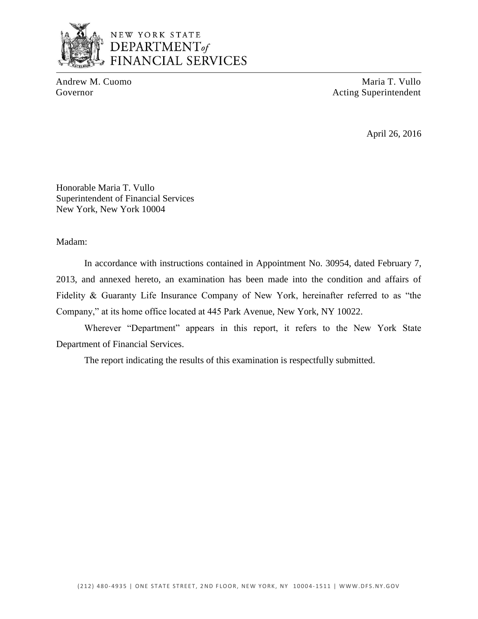

# NEW YORK STATE DEPARTMENT<sub>of</sub> **FINANCIAL SERVICES**

Andrew M. Cuomo Maria T. Vullo Governor Acting Superintendent

April 26, 2016

Honorable Maria T. Vullo Superintendent of Financial Services New York, New York 10004

Madam:

 Fidelity & Guaranty Life Insurance Company of New York, hereinafter referred to as "the In accordance with instructions contained in Appointment No. 30954, dated February 7, 2013, and annexed hereto, an examination has been made into the condition and affairs of Company," at its home office located at 445 Park Avenue, New York, NY 10022.

Wherever "Department" appears in this report, it refers to the New York State Department of Financial Services.

The report indicating the results of this examination is respectfully submitted.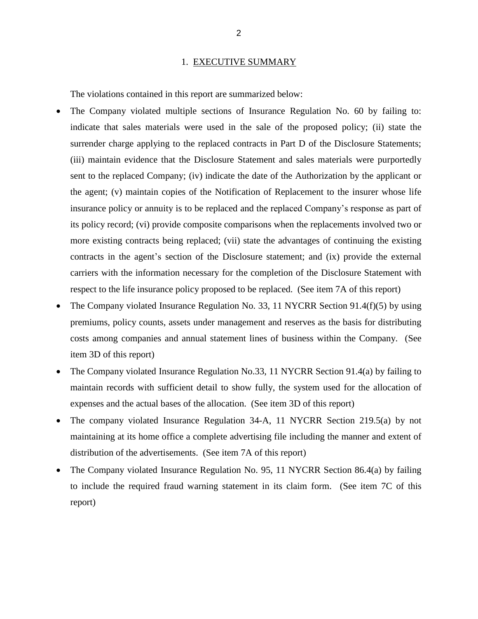#### 1. EXECUTIVE SUMMARY

<span id="page-4-0"></span>The violations contained in this report are summarized below:

- • The Company violated multiple sections of Insurance Regulation No. 60 by failing to: indicate that sales materials were used in the sale of the proposed policy; (ii) state the surrender charge applying to the replaced contracts in Part D of the Disclosure Statements; the agent; (v) maintain copies of the Notification of Replacement to the insurer whose life insurance policy or annuity is to be replaced and the replaced Company's response as part of its policy record; (vi) provide composite comparisons when the replacements involved two or carriers with the information necessary for the completion of the Disclosure Statement with (iii) maintain evidence that the Disclosure Statement and sales materials were purportedly sent to the replaced Company; (iv) indicate the date of the Authorization by the applicant or more existing contracts being replaced; (vii) state the advantages of continuing the existing contracts in the agent's section of the Disclosure statement; and (ix) provide the external respect to the life insurance policy proposed to be replaced. (See item 7A of this report)
- The Company violated Insurance Regulation No. 33, 11 NYCRR Section 91.4(f)(5) by using premiums, policy counts, assets under management and reserves as the basis for distributing costs among companies and annual statement lines of business within the Company. (See item 3D of this report)
- The Company violated Insurance Regulation No.33, 11 NYCRR Section 91.4(a) by failing to maintain records with sufficient detail to show fully, the system used for the allocation of expenses and the actual bases of the allocation. (See item 3D of this report)
- The company violated Insurance Regulation 34-A, 11 NYCRR Section 219.5(a) by not maintaining at its home office a complete advertising file including the manner and extent of distribution of the advertisements. (See item 7A of this report)
- The Company violated Insurance Regulation No. 95, 11 NYCRR Section 86.4(a) by failing to include the required fraud warning statement in its claim form. (See item 7C of this report)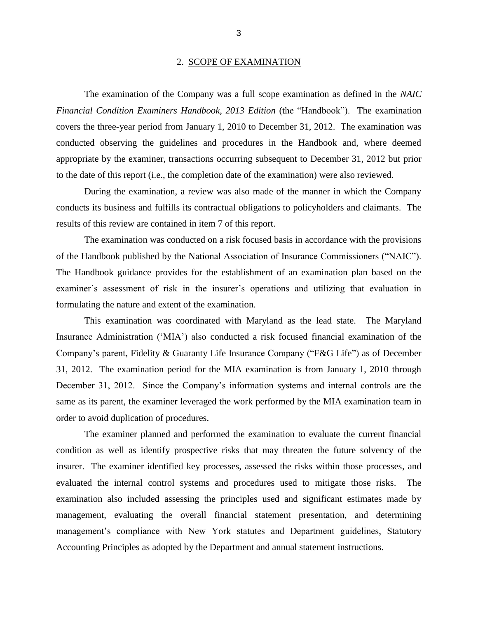#### 2. SCOPE OF EXAMINATION

<span id="page-5-0"></span> The examination of the Company was a full scope examination as defined in the *NAIC*  covers the three-year period from January 1, 2010 to December 31, 2012. The examination was conducted observing the guidelines and procedures in the Handbook and, where deemed appropriate by the examiner, transactions occurring subsequent to December 31, 2012 but prior *Financial Condition Examiners Handbook, 2013 Edition* (the "Handbook"). The examination to the date of this report (i.e., the completion date of the examination) were also reviewed.

 During the examination, a review was also made of the manner in which the Company conducts its business and fulfills its contractual obligations to policyholders and claimants. The results of this review are contained in item 7 of this report.

 examiner's assessment of risk in the insurer's operations and utilizing that evaluation in The examination was conducted on a risk focused basis in accordance with the provisions of the Handbook published by the National Association of Insurance Commissioners ("NAIC"). The Handbook guidance provides for the establishment of an examination plan based on the formulating the nature and extent of the examination.

 Company's parent, Fidelity & Guaranty Life Insurance Company ("F&G Life") as of December 31, 2012. The examination period for the MIA examination is from January 1, 2010 through December 31, 2012. Since the Company's information systems and internal controls are the same as its parent, the examiner leveraged the work performed by the MIA examination team in This examination was coordinated with Maryland as the lead state. The Maryland Insurance Administration ('MIA') also conducted a risk focused financial examination of the order to avoid duplication of procedures.

 condition as well as identify prospective risks that may threaten the future solvency of the insurer. The examiner identified key processes, assessed the risks within those processes, and examination also included assessing the principles used and significant estimates made by The examiner planned and performed the examination to evaluate the current financial evaluated the internal control systems and procedures used to mitigate those risks. The management, evaluating the overall financial statement presentation, and determining management's compliance with New York statutes and Department guidelines, Statutory Accounting Principles as adopted by the Department and annual statement instructions.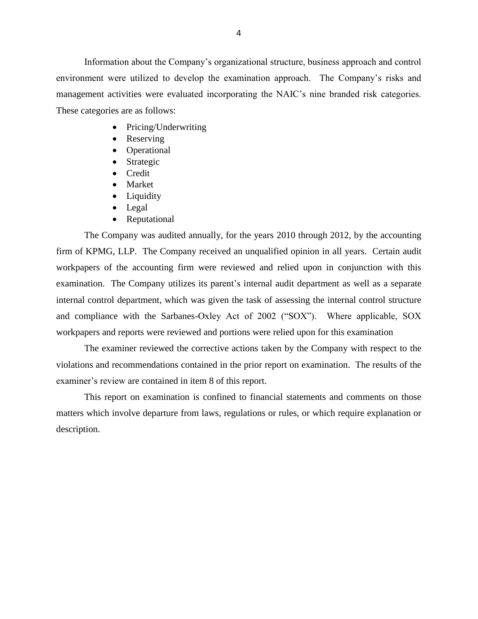environment were utilized to develop the examination approach. The Company's risks and management activities were evaluated incorporating the NAIC's nine branded risk categories. Information about the Company's organizational structure, business approach and control These categories are as follows:

- Pricing/Underwriting
- Reserving
- Operational
- Strategic
- Credit
- Market
- Liquidity
- Legal
- Reputational

 The Company was audited annually, for the years 2010 through 2012, by the accounting firm of KPMG, LLP. The Company received an unqualified opinion in all years. Certain audit examination. The Company utilizes its parent's internal audit department as well as a separate and compliance with the Sarbanes-Oxley Act of 2002 ("SOX"). Where applicable, SOX workpapers of the accounting firm were reviewed and relied upon in conjunction with this internal control department, which was given the task of assessing the internal control structure workpapers and reports were reviewed and portions were relied upon for this examination

 The examiner reviewed the corrective actions taken by the Company with respect to the violations and recommendations contained in the prior report on examination. The results of the examiner's review are contained in item 8 of this report.

 matters which involve departure from laws, regulations or rules, or which require explanation or This report on examination is confined to financial statements and comments on those description.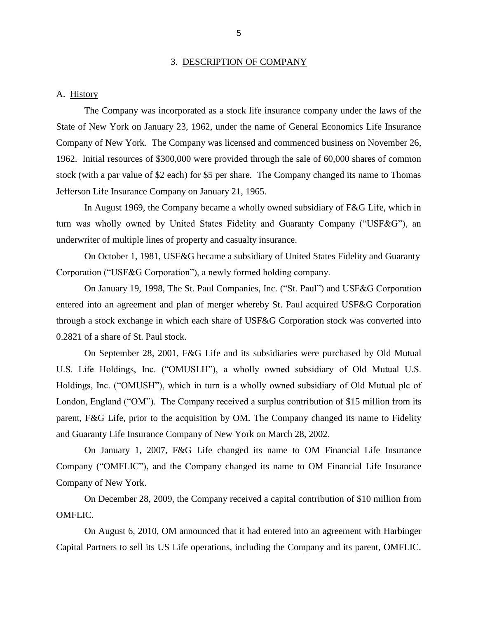#### 3. DESCRIPTION OF COMPANY

#### <span id="page-7-0"></span>A. History

 The Company was incorporated as a stock life insurance company under the laws of the State of New York on January 23, 1962, under the name of General Economics Life Insurance Company of New York. The Company was licensed and commenced business on November 26, stock (with a par value of \$2 each) for \$5 per share. The Company changed its name to Thomas Jefferson Life Insurance Company on January 21, 1965. 1962. Initial resources of \$300,000 were provided through the sale of 60,000 shares of common

 In August 1969, the Company became a wholly owned subsidiary of F&G Life, which in turn was wholly owned by United States Fidelity and Guaranty Company ("USF&G"), an underwriter of multiple lines of property and casualty insurance.

On October 1, 1981, USF&G became a subsidiary of United States Fidelity and Guaranty Corporation ("USF&G Corporation"), a newly formed holding company.

 through a stock exchange in which each share of USF&G Corporation stock was converted into On January 19, 1998, The St. Paul Companies, Inc. ("St. Paul") and USF&G Corporation entered into an agreement and plan of merger whereby St. Paul acquired USF&G Corporation 0.2821 of a share of St. Paul stock.

 U.S. Life Holdings, Inc. ("OMUSLH"), a wholly owned subsidiary of Old Mutual U.S. Holdings, Inc. ("OMUSH"), which in turn is a wholly owned subsidiary of Old Mutual plc of London, England ("OM"). The Company received a surplus contribution of \$15 million from its parent, F&G Life, prior to the acquisition by OM. The Company changed its name to Fidelity and Guaranty Life Insurance Company of New York on March 28, 2002. On September 28, 2001, F&G Life and its subsidiaries were purchased by Old Mutual

 Company ("OMFLIC"), and the Company changed its name to OM Financial Life Insurance On January 1, 2007, F&G Life changed its name to OM Financial Life Insurance Company of New York.

 On December 28, 2009, the Company received a capital contribution of \$10 million from OMFLIC.

 Capital Partners to sell its US Life operations, including the Company and its parent, OMFLIC. On August 6, 2010, OM announced that it had entered into an agreement with Harbinger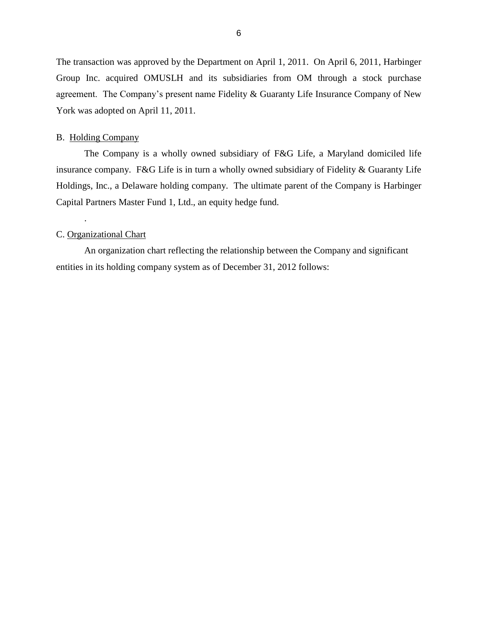<span id="page-8-0"></span> The transaction was approved by the Department on April 1, 2011. On April 6, 2011, Harbinger Group Inc. acquired OMUSLH and its subsidiaries from OM through a stock purchase agreement. The Company's present name Fidelity & Guaranty Life Insurance Company of New York was adopted on April 11, 2011.

#### B. Holding Company

 The Company is a wholly owned subsidiary of F&G Life, a Maryland domiciled life insurance company. F&G Life is in turn a wholly owned subsidiary of Fidelity & Guaranty Life Holdings, Inc., a Delaware holding company. The ultimate parent of the Company is Harbinger Capital Partners Master Fund 1, Ltd., an equity hedge fund.

#### C. Organizational Chart

.

An organization chart reflecting the relationship between the Company and significant entities in its holding company system as of December 31, 2012 follows: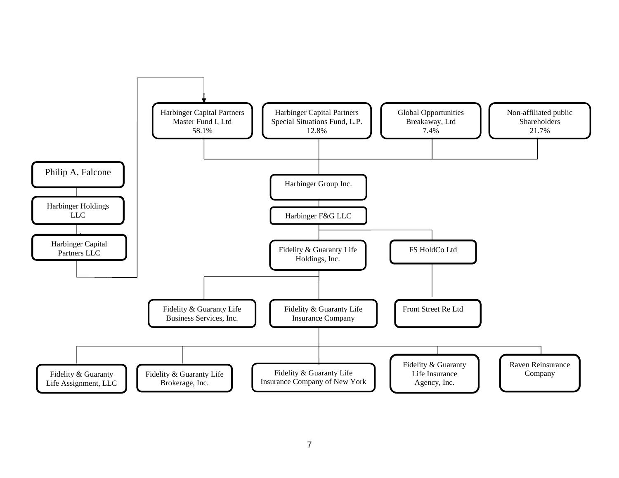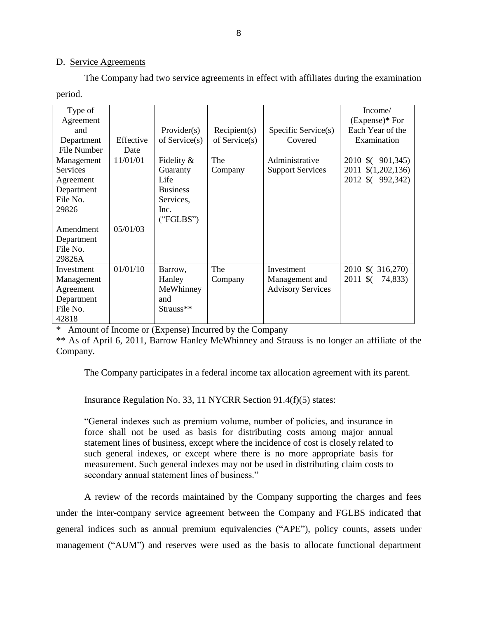#### D. Service Agreements

 The Company had two service agreements in effect with affiliates during the examination period.

| Type of         |           |                 |                  |                          | Income/                        |
|-----------------|-----------|-----------------|------------------|--------------------------|--------------------------------|
| Agreement       |           |                 |                  |                          | $(Express)*For$                |
| and             |           | Provider(s)     | Recipient(s)     | Specific Service(s)      | Each Year of the               |
| Department      | Effective | of $Service(s)$ | of Service $(s)$ | Covered                  | Examination                    |
| File Number     | Date      |                 |                  |                          |                                |
| Management      | 11/01/01  | Fidelity $\&$   | The              | Administrative           | 2010 \$ (901,345)              |
| <b>Services</b> |           | Guaranty        | Company          | <b>Support Services</b>  | 2011 \$(1,202,136)             |
| Agreement       |           | Life            |                  |                          | 2012 \$ (992,342)              |
| Department      |           | <b>Business</b> |                  |                          |                                |
| File No.        |           | Services,       |                  |                          |                                |
| 29826           |           | Inc.            |                  |                          |                                |
|                 |           | ("FGLBS")       |                  |                          |                                |
| Amendment       | 05/01/03  |                 |                  |                          |                                |
| Department      |           |                 |                  |                          |                                |
| File No.        |           |                 |                  |                          |                                |
| 29826A          |           |                 |                  |                          |                                |
| Investment      | 01/01/10  | Barrow,         | The              | Investment               | 2010 \$ (316,270)              |
| Management      |           | Hanley          | Company          | Management and           | $2011 \text{ }$ \$(<br>74,833) |
| Agreement       |           | MeWhinney       |                  | <b>Advisory Services</b> |                                |
| Department      |           | and             |                  |                          |                                |
| File No.        |           | Strauss**       |                  |                          |                                |
| 42818           |           |                 |                  |                          |                                |

\* Amount of Income or (Expense) Incurred by the Company

\*\* As of April 6, 2011, Barrow Hanley MeWhinney and Strauss is no longer an affiliate of the Company.

The Company participates in a federal income tax allocation agreement with its parent.

Insurance Regulation No. 33, 11 NYCRR Section 91.4(f)(5) states:

 "General indexes such as premium volume, number of policies, and insurance in force shall not be used as basis for distributing costs among major annual such general indexes, or except where there is no more appropriate basis for measurement. Such general indexes may not be used in distributing claim costs to statement lines of business, except where the incidence of cost is closely related to secondary annual statement lines of business."

 under the inter-company service agreement between the Company and FGLBS indicated that A review of the records maintained by the Company supporting the charges and fees general indices such as annual premium equivalencies ("APE"), policy counts, assets under management ("AUM") and reserves were used as the basis to allocate functional department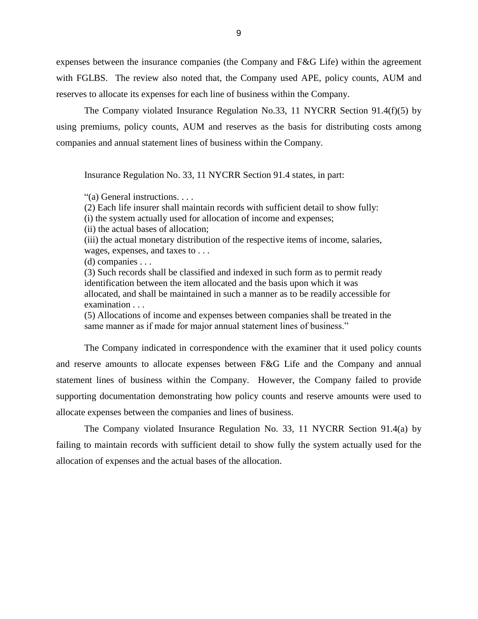with FGLBS. The review also noted that, the Company used APE, policy counts, AUM and expenses between the insurance companies (the Company and F&G Life) within the agreement reserves to allocate its expenses for each line of business within the Company.

 The Company violated Insurance Regulation No.33, 11 NYCRR Section 91.4(f)(5) by using premiums, policy counts, AUM and reserves as the basis for distributing costs among companies and annual statement lines of business within the Company.

Insurance Regulation No. 33, 11 NYCRR Section 91.4 states, in part:

"(a) General instructions. . . .

(2) Each life insurer shall maintain records with sufficient detail to show fully:

(i) the system actually used for allocation of income and expenses;

(ii) the actual bases of allocation;

(iii) the actual monetary distribution of the respective items of income, salaries, wages, expenses, and taxes to . . .

(d) companies . . .

(3) Such records shall be classified and indexed in such form as to permit ready identification between the item allocated and the basis upon which it was allocated, and shall be maintained in such a manner as to be readily accessible for examination . . .

(5) Allocations of income and expenses between companies shall be treated in the same manner as if made for major annual statement lines of business."

 The Company indicated in correspondence with the examiner that it used policy counts statement lines of business within the Company. However, the Company failed to provide supporting documentation demonstrating how policy counts and reserve amounts were used to and reserve amounts to allocate expenses between F&G Life and the Company and annual allocate expenses between the companies and lines of business.

 The Company violated Insurance Regulation No. 33, 11 NYCRR Section 91.4(a) by failing to maintain records with sufficient detail to show fully the system actually used for the allocation of expenses and the actual bases of the allocation.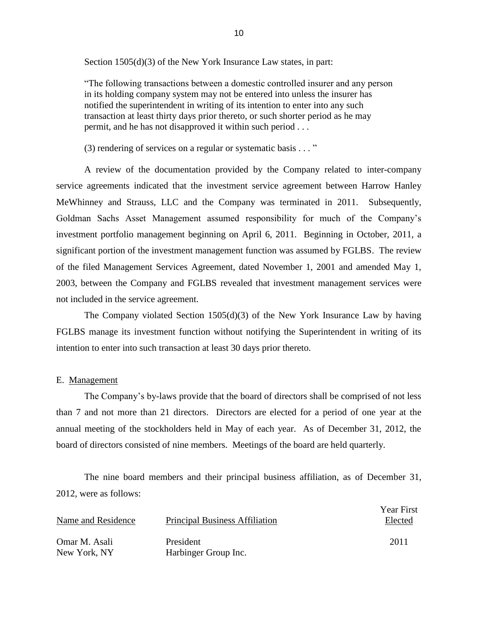<span id="page-12-0"></span>Section 1505(d)(3) of the New York Insurance Law states, in part:

"The following transactions between a domestic controlled insurer and any person in its holding company system may not be entered into unless the insurer has notified the superintendent in writing of its intention to enter into any such transaction at least thirty days prior thereto, or such shorter period as he may permit, and he has not disapproved it within such period . . .

(3) rendering of services on a regular or systematic basis . . . "

 A review of the documentation provided by the Company related to inter-company service agreements indicated that the investment service agreement between Harrow Hanley Goldman Sachs Asset Management assumed responsibility for much of the Company's significant portion of the investment management function was assumed by FGLBS. The review of the filed Management Services Agreement, dated November 1, 2001 and amended May 1, MeWhinney and Strauss, LLC and the Company was terminated in 2011. Subsequently, investment portfolio management beginning on April 6, 2011. Beginning in October, 2011, a 2003, between the Company and FGLBS revealed that investment management services were not included in the service agreement.

 The Company violated Section 1505(d)(3) of the New York Insurance Law by having FGLBS manage its investment function without notifying the Superintendent in writing of its intention to enter into such transaction at least 30 days prior thereto.

#### E. Management

 The Company's by-laws provide that the board of directors shall be comprised of not less than 7 and not more than 21 directors. Directors are elected for a period of one year at the annual meeting of the stockholders held in May of each year. As of December 31, 2012, the board of directors consisted of nine members. Meetings of the board are held quarterly.

 2012, were as follows: The nine board members and their principal business affiliation, as of December 31,

| Name and Residence            | <b>Principal Business Affiliation</b> | Year First<br>Elected |
|-------------------------------|---------------------------------------|-----------------------|
| Omar M. Asali<br>New York, NY | President<br>Harbinger Group Inc.     | 2011                  |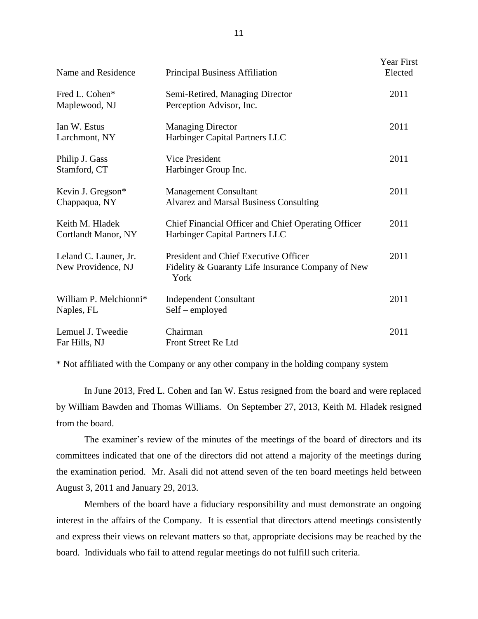| <b>Name and Residence</b>                   | <b>Principal Business Affiliation</b>                                                              | <b>Year First</b><br>Elected |
|---------------------------------------------|----------------------------------------------------------------------------------------------------|------------------------------|
| Fred L. Cohen*<br>Maplewood, NJ             | Semi-Retired, Managing Director<br>Perception Advisor, Inc.                                        | 2011                         |
| Ian W. Estus<br>Larchmont, NY               | <b>Managing Director</b><br>Harbinger Capital Partners LLC                                         | 2011                         |
| Philip J. Gass<br>Stamford, CT              | Vice President<br>Harbinger Group Inc.                                                             | 2011                         |
| Kevin J. Gregson*<br>Chappaqua, NY          | <b>Management Consultant</b><br><b>Alvarez and Marsal Business Consulting</b>                      | 2011                         |
| Keith M. Hladek<br>Cortlandt Manor, NY      | Chief Financial Officer and Chief Operating Officer<br>Harbinger Capital Partners LLC              | 2011                         |
| Leland C. Launer, Jr.<br>New Providence, NJ | President and Chief Executive Officer<br>Fidelity & Guaranty Life Insurance Company of New<br>York | 2011                         |
| William P. Melchionni*<br>Naples, FL        | <b>Independent Consultant</b><br>Self – employed                                                   | 2011                         |
| Lemuel J. Tweedie<br>Far Hills, NJ          | Chairman<br>Front Street Re Ltd                                                                    | 2011                         |

\* Not affiliated with the Company or any other company in the holding company system

 In June 2013, Fred L. Cohen and Ian W. Estus resigned from the board and were replaced by William Bawden and Thomas Williams. On September 27, 2013, Keith M. Hladek resigned from the board.

 committees indicated that one of the directors did not attend a majority of the meetings during the examination period. Mr. Asali did not attend seven of the ten board meetings held between The examiner's review of the minutes of the meetings of the board of directors and its August 3, 2011 and January 29, 2013.

 Members of the board have a fiduciary responsibility and must demonstrate an ongoing and express their views on relevant matters so that, appropriate decisions may be reached by the interest in the affairs of the Company. It is essential that directors attend meetings consistently board. Individuals who fail to attend regular meetings do not fulfill such criteria.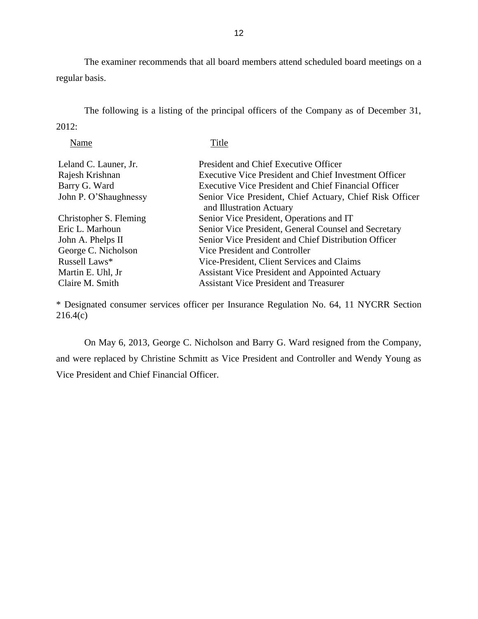The examiner recommends that all board members attend scheduled board meetings on a regular basis.

 The following is a listing of the principal officers of the Company as of December 31, 2012:

| Name                   | Title                                                                                |
|------------------------|--------------------------------------------------------------------------------------|
| Leland C. Launer, Jr.  | <b>President and Chief Executive Officer</b>                                         |
| Rajesh Krishnan        | <b>Executive Vice President and Chief Investment Officer</b>                         |
| Barry G. Ward          | Executive Vice President and Chief Financial Officer                                 |
| John P. O'Shaughnessy  | Senior Vice President, Chief Actuary, Chief Risk Officer<br>and Illustration Actuary |
| Christopher S. Fleming | Senior Vice President, Operations and IT                                             |
| Eric L. Marhoun        | Senior Vice President, General Counsel and Secretary                                 |
| John A. Phelps II      | Senior Vice President and Chief Distribution Officer                                 |
| George C. Nicholson    | Vice President and Controller                                                        |
| Russell Laws*          | Vice-President, Client Services and Claims                                           |
| Martin E. Uhl, Jr      | <b>Assistant Vice President and Appointed Actuary</b>                                |
| Claire M. Smith        | <b>Assistant Vice President and Treasurer</b>                                        |

\* Designated consumer services officer per Insurance Regulation No. 64, 11 NYCRR Section 216.4(c)

 On May 6, 2013, George C. Nicholson and Barry G. Ward resigned from the Company, and were replaced by Christine Schmitt as Vice President and Controller and Wendy Young as Vice President and Chief Financial Officer.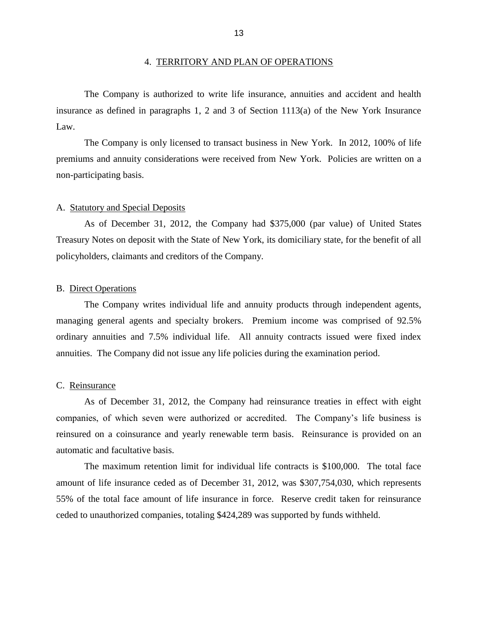<span id="page-15-0"></span> The Company is authorized to write life insurance, annuities and accident and health insurance as defined in paragraphs 1, 2 and 3 of Section 1113(a) of the New York Insurance Law.

 The Company is only licensed to transact business in New York. In 2012, 100% of life premiums and annuity considerations were received from New York. Policies are written on a non-participating basis.

#### A. Statutory and Special Deposits

 Treasury Notes on deposit with the State of New York, its domiciliary state, for the benefit of all As of December 31, 2012, the Company had \$375,000 (par value) of United States policyholders, claimants and creditors of the Company.

#### B. Direct Operations

 The Company writes individual life and annuity products through independent agents, managing general agents and specialty brokers. Premium income was comprised of 92.5% ordinary annuities and 7.5% individual life. All annuity contracts issued were fixed index annuities. The Company did not issue any life policies during the examination period.

#### C. Reinsurance

 companies, of which seven were authorized or accredited. The Company's life business is reinsured on a coinsurance and yearly renewable term basis. Reinsurance is provided on an As of December 31, 2012, the Company had reinsurance treaties in effect with eight automatic and facultative basis.

 The maximum retention limit for individual life contracts is \$100,000. The total face amount of life insurance ceded as of December 31, 2012, was \$307,754,030, which represents 55% of the total face amount of life insurance in force. Reserve credit taken for reinsurance ceded to unauthorized companies, totaling \$424,289 was supported by funds withheld.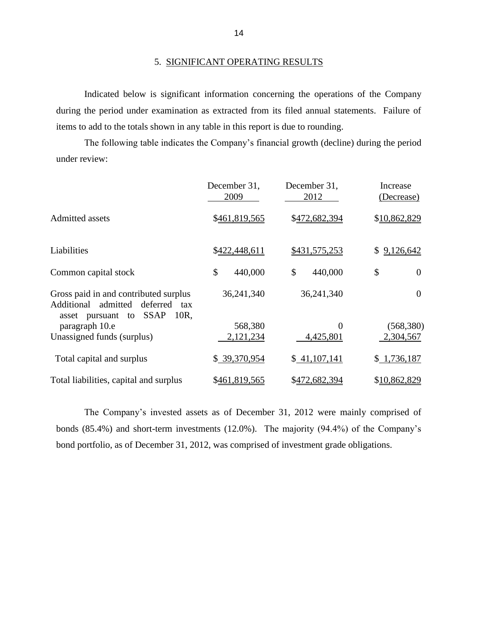<span id="page-16-0"></span> during the period under examination as extracted from its filed annual statements. Failure of Indicated below is significant information concerning the operations of the Company items to add to the totals shown in any table in this report is due to rounding.

The following table indicates the Company's financial growth (decline) during the period under review:

|                                                                                                                                 | December 31,<br>2009 | December 31,<br>2012 | Increase<br>(Decrease) |
|---------------------------------------------------------------------------------------------------------------------------------|----------------------|----------------------|------------------------|
| <b>Admitted assets</b>                                                                                                          | \$461,819,565        | \$472,682,394        | \$10,862,829           |
| Liabilities                                                                                                                     | \$422,448,611        | \$431,575,253        | 9,126,642<br>S.        |
| Common capital stock                                                                                                            | \$<br>440,000        | \$<br>440,000        | \$<br>$\theta$         |
| Gross paid in and contributed surplus<br>admitted<br>Additional<br>deferred<br>tax<br>asset pursuant to SSAP<br>10 <sub>R</sub> | 36,241,340           | 36,241,340           | $\theta$               |
| paragraph 10.e                                                                                                                  | 568,380              | $\theta$             | (568,380)              |
| Unassigned funds (surplus)                                                                                                      | 2,121,234            | 4,425,801            | 2,304,567              |
| Total capital and surplus                                                                                                       | \$39,370,954         | \$41,107,141         | \$1,736,187            |
| Total liabilities, capital and surplus                                                                                          | \$461,819,565        | \$472,682,394        | \$10,862,829           |

 The Company's invested assets as of December 31, 2012 were mainly comprised of bonds (85.4%) and short-term investments (12.0%). The majority (94.4%) of the Company's bond portfolio, as of December 31, 2012, was comprised of investment grade obligations.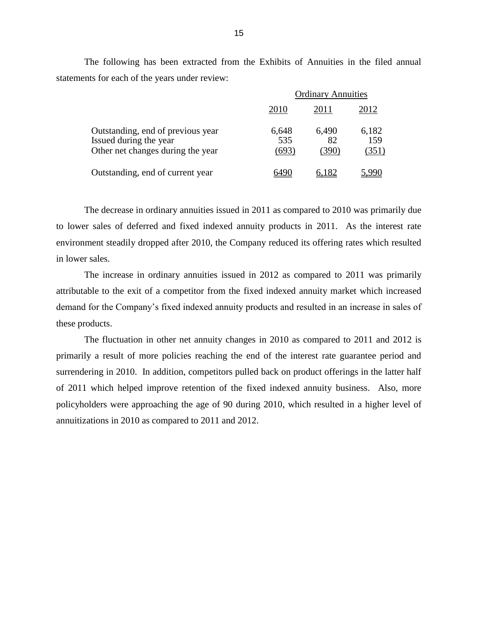|                                                                                                  | <b>Ordinary Annuities</b> |                      |                       |  |
|--------------------------------------------------------------------------------------------------|---------------------------|----------------------|-----------------------|--|
|                                                                                                  | 2010                      | 2011                 | 2012                  |  |
| Outstanding, end of previous year<br>Issued during the year<br>Other net changes during the year | 6,648<br>535<br>(693)     | 6,490<br>82<br>(390) | 6,182<br>159<br>(351) |  |
| Outstanding, end of current year                                                                 |                           | 6,182                |                       |  |

 The following has been extracted from the Exhibits of Annuities in the filed annual statements for each of the years under review:

 The decrease in ordinary annuities issued in 2011 as compared to 2010 was primarily due to lower sales of deferred and fixed indexed annuity products in 2011. As the interest rate environment steadily dropped after 2010, the Company reduced its offering rates which resulted in lower sales.

 The increase in ordinary annuities issued in 2012 as compared to 2011 was primarily attributable to the exit of a competitor from the fixed indexed annuity market which increased demand for the Company's fixed indexed annuity products and resulted in an increase in sales of these products.

 The fluctuation in other net annuity changes in 2010 as compared to 2011 and 2012 is primarily a result of more policies reaching the end of the interest rate guarantee period and surrendering in 2010. In addition, competitors pulled back on product offerings in the latter half of 2011 which helped improve retention of the fixed indexed annuity business. Also, more policyholders were approaching the age of 90 during 2010, which resulted in a higher level of annuitizations in 2010 as compared to 2011 and 2012.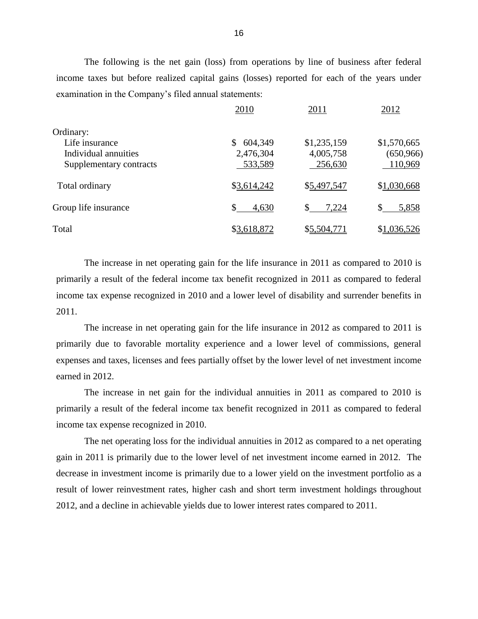The following is the net gain (loss) from operations by line of business after federal income taxes but before realized capital gains (losses) reported for each of the years under examination in the Company's filed annual statements:

|                         | 2010          | 2011        | 2012        |
|-------------------------|---------------|-------------|-------------|
| Ordinary:               |               |             |             |
| Life insurance          | \$<br>604,349 | \$1,235,159 | \$1,570,665 |
| Individual annuities    | 2,476,304     | 4,005,758   | (650, 966)  |
| Supplementary contracts | 533,589       | 256,630     | 110,969     |
| Total ordinary          | \$3,614,242   | \$5,497,547 | \$1,030,668 |
| Group life insurance    | \$<br>4,630   | 7,224       | \$<br>5,858 |
| Total                   | \$3,618,872   | \$5,504,771 | \$1,036,526 |

 The increase in net operating gain for the life insurance in 2011 as compared to 2010 is primarily a result of the federal income tax benefit recognized in 2011 as compared to federal income tax expense recognized in 2010 and a lower level of disability and surrender benefits in 2011.

 The increase in net operating gain for the life insurance in 2012 as compared to 2011 is primarily due to favorable mortality experience and a lower level of commissions, general expenses and taxes, licenses and fees partially offset by the lower level of net investment income earned in 2012.

 The increase in net gain for the individual annuities in 2011 as compared to 2010 is primarily a result of the federal income tax benefit recognized in 2011 as compared to federal income tax expense recognized in 2010.

 gain in 2011 is primarily due to the lower level of net investment income earned in 2012. The decrease in investment income is primarily due to a lower yield on the investment portfolio as a The net operating loss for the individual annuities in 2012 as compared to a net operating result of lower reinvestment rates, higher cash and short term investment holdings throughout 2012, and a decline in achievable yields due to lower interest rates compared to 2011.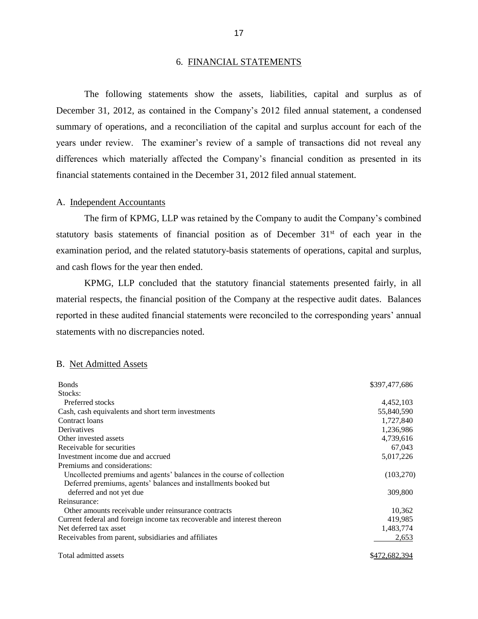#### 6. FINANCIAL STATEMENTS

 December 31, 2012, as contained in the Company's 2012 filed annual statement, a condensed summary of operations, and a reconciliation of the capital and surplus account for each of the years under review. The examiner's review of a sample of transactions did not reveal any The following statements show the assets, liabilities, capital and surplus as of differences which materially affected the Company's financial condition as presented in its financial statements contained in the December 31, 2012 filed annual statement.

#### A. Independent Accountants

statutory basis statements of financial position as of December  $31<sup>st</sup>$  of each year in the The firm of KPMG, LLP was retained by the Company to audit the Company's combined examination period, and the related statutory-basis statements of operations, capital and surplus, and cash flows for the year then ended.

 material respects, the financial position of the Company at the respective audit dates. Balances KPMG, LLP concluded that the statutory financial statements presented fairly, in all reported in these audited financial statements were reconciled to the corresponding years' annual statements with no discrepancies noted.

#### B. Net Admitted Assets

| <b>Bonds</b>                                                            | \$397,477,686 |
|-------------------------------------------------------------------------|---------------|
| Stocks:                                                                 |               |
| Preferred stocks                                                        | 4,452,103     |
| Cash, cash equivalents and short term investments                       | 55,840,590    |
| Contract loans                                                          | 1,727,840     |
| Derivatives                                                             | 1,236,986     |
| Other invested assets                                                   | 4,739,616     |
| Receivable for securities                                               | 67,043        |
| Investment income due and accrued                                       | 5,017,226     |
| Premiums and considerations:                                            |               |
| Uncollected premiums and agents' balances in the course of collection   | (103,270)     |
| Deferred premiums, agents' balances and installments booked but         |               |
| deferred and not yet due                                                | 309,800       |
| Reinsurance:                                                            |               |
| Other amounts receivable under reinsurance contracts                    | 10,362        |
| Current federal and foreign income tax recoverable and interest thereon | 419,985       |
| Net deferred tax asset                                                  | 1,483,774     |
| Receivables from parent, subsidiaries and affiliates                    | 2,653         |
| Total admitted assets                                                   | \$472,682,394 |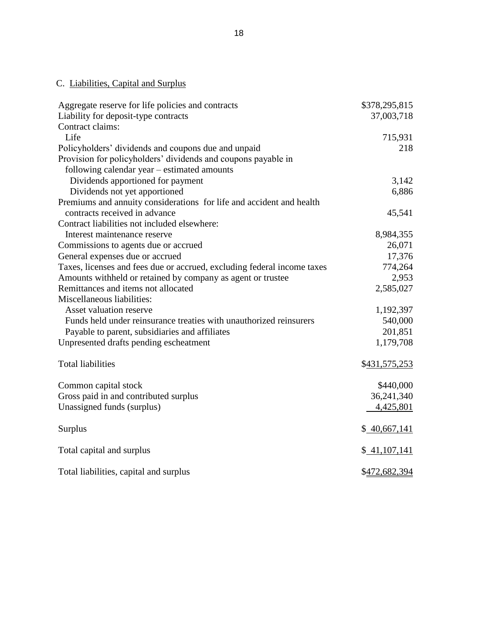# C. Liabilities, Capital and Surplus

| Aggregate reserve for life policies and contracts                       | \$378,295,815 |
|-------------------------------------------------------------------------|---------------|
| Liability for deposit-type contracts                                    | 37,003,718    |
| Contract claims:                                                        |               |
| Life                                                                    | 715,931       |
| Policyholders' dividends and coupons due and unpaid                     | 218           |
| Provision for policyholders' dividends and coupons payable in           |               |
| following calendar year – estimated amounts                             |               |
| Dividends apportioned for payment                                       | 3,142         |
| Dividends not yet apportioned                                           | 6,886         |
| Premiums and annuity considerations for life and accident and health    |               |
| contracts received in advance                                           | 45,541        |
| Contract liabilities not included elsewhere:                            |               |
| Interest maintenance reserve                                            | 8,984,355     |
| Commissions to agents due or accrued                                    | 26,071        |
| General expenses due or accrued                                         | 17,376        |
| Taxes, licenses and fees due or accrued, excluding federal income taxes | 774,264       |
| Amounts withheld or retained by company as agent or trustee             | 2,953         |
| Remittances and items not allocated                                     | 2,585,027     |
| Miscellaneous liabilities:                                              |               |
| Asset valuation reserve                                                 | 1,192,397     |
| Funds held under reinsurance treaties with unauthorized reinsurers      | 540,000       |
| Payable to parent, subsidiaries and affiliates                          | 201,851       |
| Unpresented drafts pending escheatment                                  | 1,179,708     |
| <b>Total liabilities</b>                                                | \$431,575,253 |
| Common capital stock                                                    | \$440,000     |
| Gross paid in and contributed surplus                                   | 36,241,340    |
| Unassigned funds (surplus)                                              | 4,425,801     |
| <b>Surplus</b>                                                          | \$40,667,141  |
| Total capital and surplus                                               | \$41,107,141  |
| Total liabilities, capital and surplus                                  | \$472,682,394 |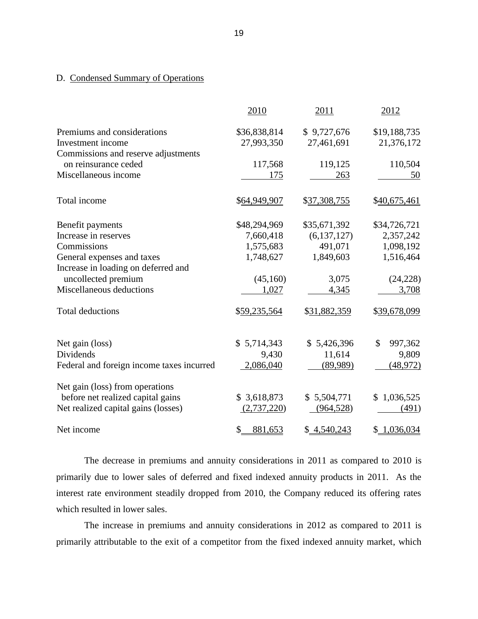### D. Condensed Summary of Operations

|                                                                          | 2010                       | 2011                      | 2012                       |
|--------------------------------------------------------------------------|----------------------------|---------------------------|----------------------------|
| Premiums and considerations<br>Investment income                         | \$36,838,814<br>27,993,350 | \$9,727,676<br>27,461,691 | \$19,188,735<br>21,376,172 |
| Commissions and reserve adjustments<br>on reinsurance ceded              | 117,568                    | 119,125                   | 110,504                    |
| Miscellaneous income                                                     | 175                        | 263                       | 50                         |
| Total income                                                             | \$64,949,907               | \$37,308,755              | \$40,675,461               |
| Benefit payments                                                         | \$48,294,969               | \$35,671,392              | \$34,726,721               |
| Increase in reserves                                                     | 7,660,418                  | (6, 137, 127)             | 2,357,242                  |
| Commissions                                                              | 1,575,683                  | 491,071                   | 1,098,192                  |
| General expenses and taxes                                               | 1,748,627                  | 1,849,603                 | 1,516,464                  |
| Increase in loading on deferred and                                      |                            |                           |                            |
| uncollected premium                                                      | (45,160)                   | 3,075                     | (24, 228)                  |
| Miscellaneous deductions                                                 | 1,027                      | 4,345                     | 3,708                      |
| <b>Total deductions</b>                                                  | \$59,235,564               | \$31,882,359              | \$39,678,099               |
| Net gain (loss)                                                          | \$5,714,343                | \$5,426,396               | \$<br>997,362              |
| Dividends                                                                | 9,430                      | 11,614                    | 9,809                      |
| Federal and foreign income taxes incurred                                | 2,086,040                  | (89,989)                  | (48, 972)                  |
| Net gain (loss) from operations                                          |                            |                           |                            |
| before net realized capital gains<br>Net realized capital gains (losses) | \$3,618,873<br>(2,737,220) | \$5,504,771<br>(964, 528) | \$1,036,525<br>(491)       |
| Net income                                                               | \$<br>881,653              | \$4,540,243               | \$1,036,034                |

 The decrease in premiums and annuity considerations in 2011 as compared to 2010 is primarily due to lower sales of deferred and fixed indexed annuity products in 2011. As the interest rate environment steadily dropped from 2010, the Company reduced its offering rates which resulted in lower sales.

 The increase in premiums and annuity considerations in 2012 as compared to 2011 is primarily attributable to the exit of a competitor from the fixed indexed annuity market, which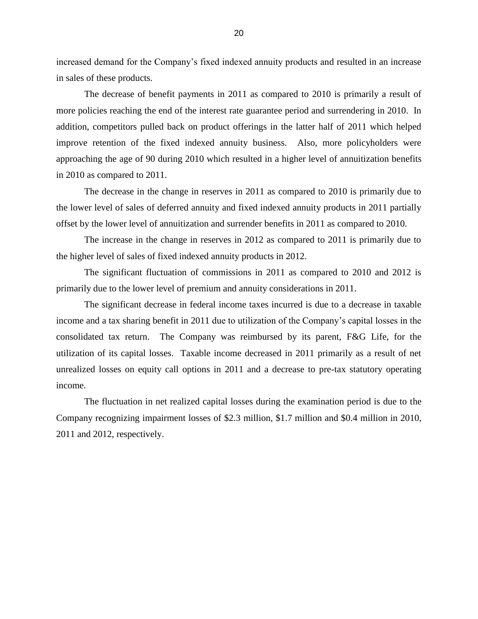increased demand for the Company's fixed indexed annuity products and resulted in an increase in sales of these products.

 The decrease of benefit payments in 2011 as compared to 2010 is primarily a result of improve retention of the fixed indexed annuity business. Also, more policyholders were approaching the age of 90 during 2010 which resulted in a higher level of annuitization benefits more policies reaching the end of the interest rate guarantee period and surrendering in 2010. In addition, competitors pulled back on product offerings in the latter half of 2011 which helped in 2010 as compared to 2011.

 The decrease in the change in reserves in 2011 as compared to 2010 is primarily due to the lower level of sales of deferred annuity and fixed indexed annuity products in 2011 partially offset by the lower level of annuitization and surrender benefits in 2011 as compared to 2010.

 The increase in the change in reserves in 2012 as compared to 2011 is primarily due to the higher level of sales of fixed indexed annuity products in 2012.

 The significant fluctuation of commissions in 2011 as compared to 2010 and 2012 is primarily due to the lower level of premium and annuity considerations in 2011.

 The significant decrease in federal income taxes incurred is due to a decrease in taxable income and a tax sharing benefit in 2011 due to utilization of the Company's capital losses in the consolidated tax return. The Company was reimbursed by its parent, F&G Life, for the utilization of its capital losses. Taxable income decreased in 2011 primarily as a result of net unrealized losses on equity call options in 2011 and a decrease to pre-tax statutory operating income.

The fluctuation in net realized capital losses during the examination period is due to the Company recognizing impairment losses of \$2.3 million, \$1.7 million and \$0.4 million in 2010, 2011 and 2012, respectively.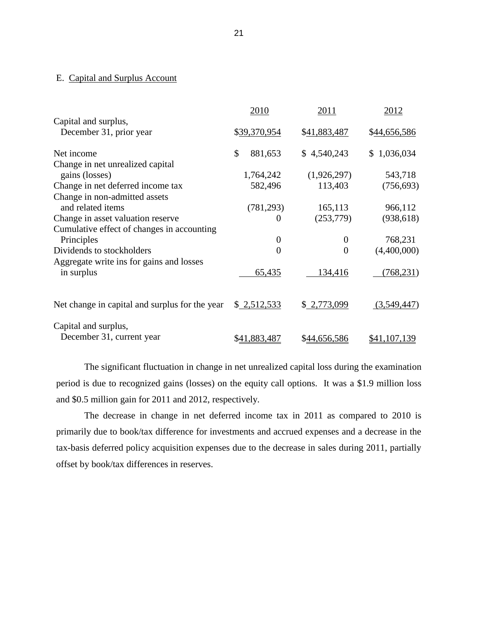#### E. Capital and Surplus Account

|                                                                                 | 2010                     | 2011                               | 2012                   |
|---------------------------------------------------------------------------------|--------------------------|------------------------------------|------------------------|
| Capital and surplus,<br>December 31, prior year                                 | \$39,370,954             | \$41,883,487                       | \$44,656,586           |
| Net income                                                                      | $\mathcal{S}$<br>881,653 | \$4,540,243                        | \$1,036,034            |
| Change in net unrealized capital<br>gains (losses)                              | 1,764,242                | (1,926,297)                        | 543,718                |
| Change in net deferred income tax                                               | 582,496                  | 113,403                            | (756, 693)             |
| Change in non-admitted assets<br>and related items                              | (781, 293)               | 165,113                            | 966,112                |
| Change in asset valuation reserve<br>Cumulative effect of changes in accounting | $\theta$                 | (253,779)                          | (938, 618)             |
| Principles<br>Dividends to stockholders                                         | $\theta$<br>$\theta$     | $\boldsymbol{0}$<br>$\overline{0}$ | 768,231<br>(4,400,000) |
| Aggregate write ins for gains and losses                                        |                          |                                    |                        |
| in surplus                                                                      | 65,435                   | 134,416                            | (768, 231)             |
| Net change in capital and surplus for the year                                  | \$2,512,533              | \$2,773,099                        | (3,549,447)            |
| Capital and surplus,<br>December 31, current year                               | \$41,883,487             | \$44,656,586                       | \$41,107,139           |

 period is due to recognized gains (losses) on the equity call options. It was a \$1.9 million loss The significant fluctuation in change in net unrealized capital loss during the examination and \$0.5 million gain for 2011 and 2012, respectively.

 The decrease in change in net deferred income tax in 2011 as compared to 2010 is primarily due to book/tax difference for investments and accrued expenses and a decrease in the tax-basis deferred policy acquisition expenses due to the decrease in sales during 2011, partially offset by book/tax differences in reserves.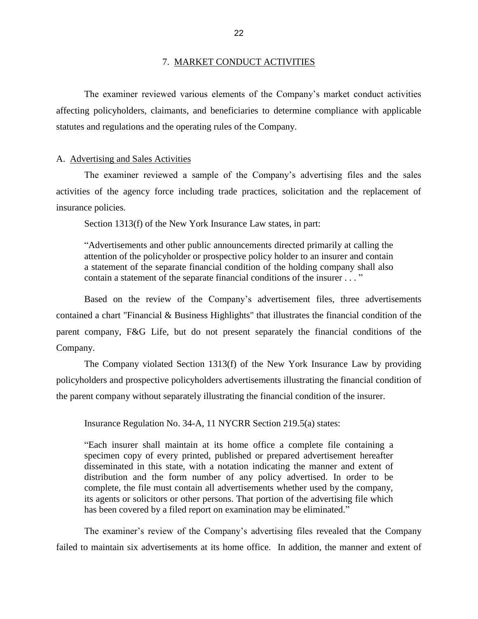#### 7. MARKET CONDUCT ACTIVITIES

<span id="page-24-0"></span> affecting policyholders, claimants, and beneficiaries to determine compliance with applicable The examiner reviewed various elements of the Company's market conduct activities statutes and regulations and the operating rules of the Company.

#### A. Advertising and Sales Activities

 The examiner reviewed a sample of the Company's advertising files and the sales activities of the agency force including trade practices, solicitation and the replacement of insurance policies.

Section 1313(f) of the New York Insurance Law states, in part:

 "Advertisements and other public announcements directed primarily at calling the a statement of the separate financial condition of the holding company shall also attention of the policyholder or prospective policy holder to an insurer and contain contain a statement of the separate financial conditions of the insurer . . . "

 parent company, F&G Life, but do not present separately the financial conditions of the Based on the review of the Company's advertisement files, three advertisements contained a chart "Financial & Business Highlights" that illustrates the financial condition of the Company.

 The Company violated Section 1313(f) of the New York Insurance Law by providing policyholders and prospective policyholders advertisements illustrating the financial condition of the parent company without separately illustrating the financial condition of the insurer.

Insurance Regulation No. 34-A, 11 NYCRR Section 219.5(a) states:

 "Each insurer shall maintain at its home office a complete file containing a specimen copy of every printed, published or prepared advertisement hereafter distribution and the form number of any policy advertised. In order to be complete, the file must contain all advertisements whether used by the company, its agents or solicitors or other persons. That portion of the advertising file which disseminated in this state, with a notation indicating the manner and extent of has been covered by a filed report on examination may be eliminated."

 failed to maintain six advertisements at its home office. In addition, the manner and extent of The examiner's review of the Company's advertising files revealed that the Company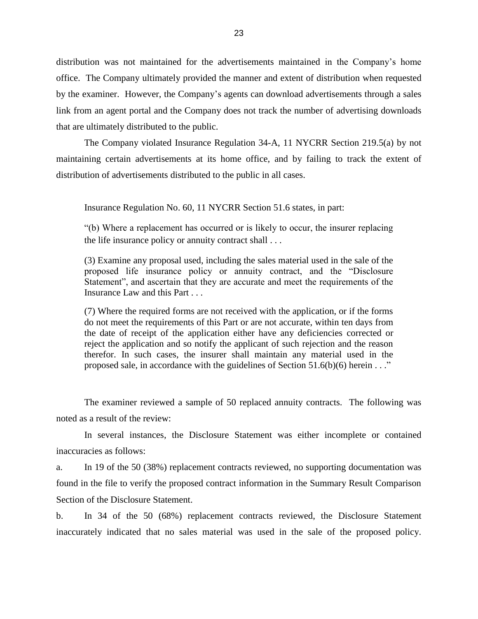office. The Company ultimately provided the manner and extent of distribution when requested by the examiner. However, the Company's agents can download advertisements through a sales distribution was not maintained for the advertisements maintained in the Company's home link from an agent portal and the Company does not track the number of advertising downloads that are ultimately distributed to the public.

 The Company violated Insurance Regulation 34-A, 11 NYCRR Section 219.5(a) by not maintaining certain advertisements at its home office, and by failing to track the extent of distribution of advertisements distributed to the public in all cases.

Insurance Regulation No. 60, 11 NYCRR Section 51.6 states, in part:

 "(b) Where a replacement has occurred or is likely to occur, the insurer replacing the life insurance policy or annuity contract shall . . .

 (3) Examine any proposal used, including the sales material used in the sale of the proposed life insurance policy or annuity contract, and the "Disclosure Statement", and ascertain that they are accurate and meet the requirements of the Insurance Law and this Part . . .

 (7) Where the required forms are not received with the application, or if the forms the date of receipt of the application either have any deficiencies corrected or reject the application and so notify the applicant of such rejection and the reason therefor. In such cases, the insurer shall maintain any material used in the do not meet the requirements of this Part or are not accurate, within ten days from proposed sale, in accordance with the guidelines of Section  $51.6(b)(6)$  herein . . ."

 The examiner reviewed a sample of 50 replaced annuity contracts. The following was noted as a result of the review:

In several instances, the Disclosure Statement was either incomplete or contained inaccuracies as follows:

 found in the file to verify the proposed contract information in the Summary Result Comparison a. In 19 of the 50 (38%) replacement contracts reviewed, no supporting documentation was Section of the Disclosure Statement.

 inaccurately indicated that no sales material was used in the sale of the proposed policy. b. In 34 of the 50 (68%) replacement contracts reviewed, the Disclosure Statement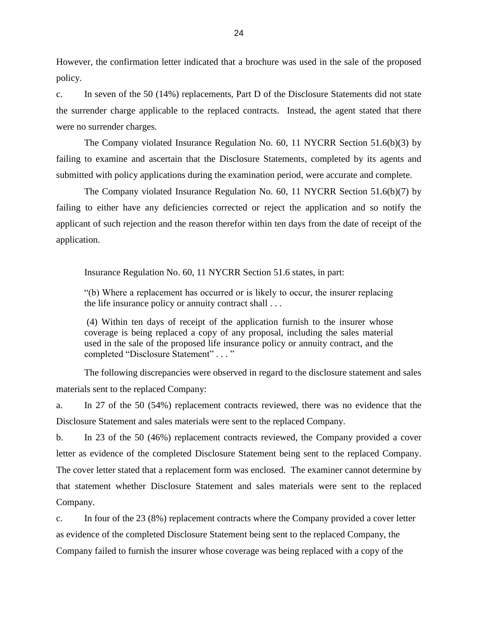However, the confirmation letter indicated that a brochure was used in the sale of the proposed policy.

c. In seven of the 50 (14%) replacements, Part D of the Disclosure Statements did not state the surrender charge applicable to the replaced contracts. Instead, the agent stated that there were no surrender charges.

 The Company violated Insurance Regulation No. 60, 11 NYCRR Section 51.6(b)(3) by failing to examine and ascertain that the Disclosure Statements, completed by its agents and submitted with policy applications during the examination period, were accurate and complete.

 The Company violated Insurance Regulation No. 60, 11 NYCRR Section 51.6(b)(7) by failing to either have any deficiencies corrected or reject the application and so notify the applicant of such rejection and the reason therefor within ten days from the date of receipt of the application.

Insurance Regulation No. 60, 11 NYCRR Section 51.6 states, in part:

 "(b) Where a replacement has occurred or is likely to occur, the insurer replacing the life insurance policy or annuity contract shall . . .

 coverage is being replaced a copy of any proposal, including the sales material used in the sale of the proposed life insurance policy or annuity contract, and the (4) Within ten days of receipt of the application furnish to the insurer whose completed "Disclosure Statement" . . . "

The following discrepancies were observed in regard to the disclosure statement and sales materials sent to the replaced Company:

 a. In 27 of the 50 (54%) replacement contracts reviewed, there was no evidence that the Disclosure Statement and sales materials were sent to the replaced Company.

 letter as evidence of the completed Disclosure Statement being sent to the replaced Company. that statement whether Disclosure Statement and sales materials were sent to the replaced b. In 23 of the 50 (46%) replacement contracts reviewed, the Company provided a cover The cover letter stated that a replacement form was enclosed. The examiner cannot determine by Company.

c. In four of the 23 (8%) replacement contracts where the Company provided a cover letter as evidence of the completed Disclosure Statement being sent to the replaced Company, the Company failed to furnish the insurer whose coverage was being replaced with a copy of the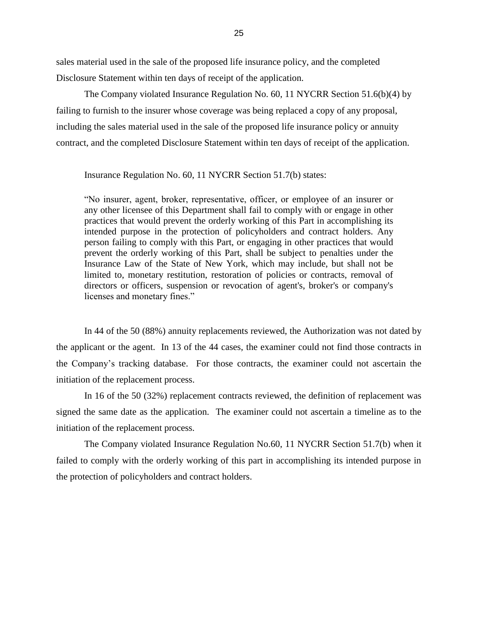sales material used in the sale of the proposed life insurance policy, and the completed Disclosure Statement within ten days of receipt of the application.

 failing to furnish to the insurer whose coverage was being replaced a copy of any proposal, The Company violated Insurance Regulation No. 60, 11 NYCRR Section 51.6(b)(4) by including the sales material used in the sale of the proposed life insurance policy or annuity contract, and the completed Disclosure Statement within ten days of receipt of the application.

Insurance Regulation No. 60, 11 NYCRR Section 51.7(b) states:

 any other licensee of this Department shall fail to comply with or engage in other person failing to comply with this Part, or engaging in other practices that would prevent the orderly working of this Part, shall be subject to penalties under the Insurance Law of the State of New York, which may include, but shall not be "No insurer, agent, broker, representative, officer, or employee of an insurer or practices that would prevent the orderly working of this Part in accomplishing its intended purpose in the protection of policyholders and contract holders. Any limited to, monetary restitution, restoration of policies or contracts, removal of directors or officers, suspension or revocation of agent's, broker's or company's licenses and monetary fines."

In 44 of the 50 (88%) annuity replacements reviewed, the Authorization was not dated by the applicant or the agent. In 13 of the 44 cases, the examiner could not find those contracts in the Company's tracking database. For those contracts, the examiner could not ascertain the initiation of the replacement process.

 In 16 of the 50 (32%) replacement contracts reviewed, the definition of replacement was signed the same date as the application. The examiner could not ascertain a timeline as to the initiation of the replacement process.

 The Company violated Insurance Regulation No.60, 11 NYCRR Section 51.7(b) when it failed to comply with the orderly working of this part in accomplishing its intended purpose in the protection of policyholders and contract holders.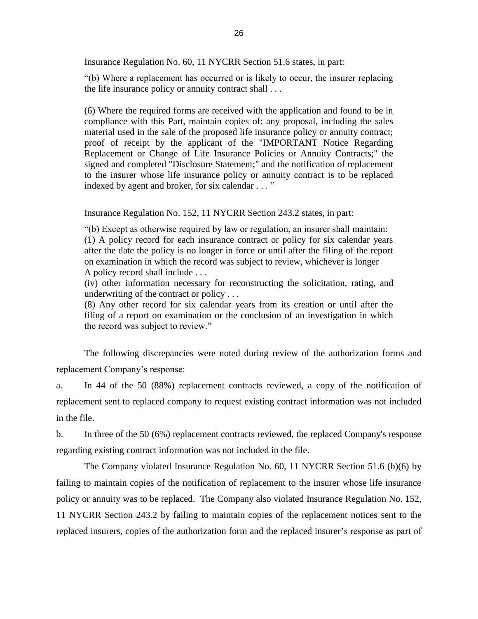Insurance Regulation No. 60, 11 NYCRR Section 51.6 states, in part:

 "(b) Where a replacement has occurred or is likely to occur, the insurer replacing the life insurance policy or annuity contract shall . . .

 (6) Where the required forms are received with the application and found to be in material used in the sale of the proposed life insurance policy or annuity contract; proof of receipt by the applicant of the "IMPORTANT Notice Regarding Replacement or Change of Life Insurance Policies or Annuity Contracts;" the signed and completed "Disclosure Statement;" and the notification of replacement to the insurer whose life insurance policy or annuity contract is to be replaced compliance with this Part, maintain copies of: any proposal, including the sales indexed by agent and broker, for six calendar . . . "

Insurance Regulation No. 152, 11 NYCRR Section 243.2 states, in part:

 (1) A policy record for each insurance contract or policy for six calendar years after the date the policy is no longer in force or until after the filing of the report "(b) Except as otherwise required by law or regulation, an insurer shall maintain: on examination in which the record was subject to review, whichever is longer A policy record shall include . . .

 (iv) other information necessary for reconstructing the solicitation, rating, and underwriting of the contract or policy . . .

 (8) Any other record for six calendar years from its creation or until after the filing of a report on examination or the conclusion of an investigation in which the record was subject to review."

The following discrepancies were noted during review of the authorization forms and replacement Company's response:

a. In 44 of the 50 (88%) replacement contracts reviewed, a copy of the notification of replacement sent to replaced company to request existing contract information was not included in the file.

 b. In three of the 50 (6%) replacement contracts reviewed, the replaced Company's response regarding existing contract information was not included in the file.

 The Company violated Insurance Regulation No. 60, 11 NYCRR Section 51.6 (b)(6) by failing to maintain copies of the notification of replacement to the insurer whose life insurance policy or annuity was to be replaced. The Company also violated Insurance Regulation No. 152, 11 NYCRR Section 243.2 by failing to maintain copies of the replacement notices sent to the replaced insurers, copies of the authorization form and the replaced insurer's response as part of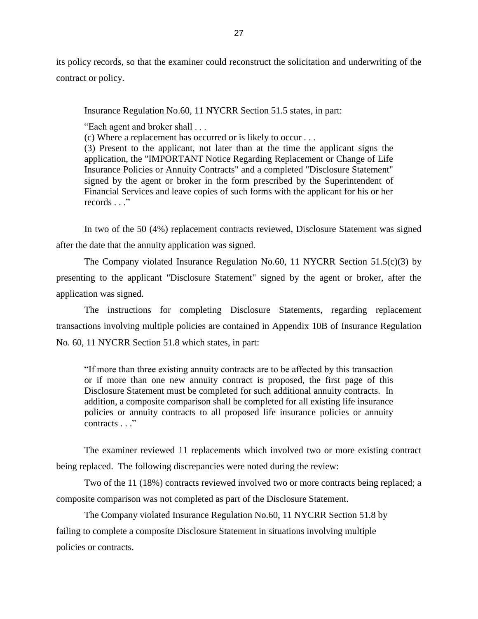its policy records, so that the examiner could reconstruct the solicitation and underwriting of the contract or policy.

Insurance Regulation No.60, 11 NYCRR Section 51.5 states, in part:

"Each agent and broker shall . . .

(c) Where a replacement has occurred or is likely to occur . . .

 application, the "IMPORTANT Notice Regarding Replacement or Change of Life Insurance Policies or Annuity Contracts" and a completed "Disclosure Statement" signed by the agent or broker in the form prescribed by the Superintendent of Financial Services and leave copies of such forms with the applicant for his or her (3) Present to the applicant, not later than at the time the applicant signs the records . . ."

 In two of the 50 (4%) replacement contracts reviewed, Disclosure Statement was signed after the date that the annuity application was signed.

 presenting to the applicant "Disclosure Statement" signed by the agent or broker, after the The Company violated Insurance Regulation No.60, 11 NYCRR Section 51.5(c)(3) by application was signed.

The instructions for completing Disclosure Statements, regarding replacement transactions involving multiple policies are contained in Appendix 10B of Insurance Regulation No. 60, 11 NYCRR Section 51.8 which states, in part:

 "If more than three existing annuity contracts are to be affected by this transaction Disclosure Statement must be completed for such additional annuity contracts. In policies or annuity contracts to all proposed life insurance policies or annuity or if more than one new annuity contract is proposed, the first page of this addition, a composite comparison shall be completed for all existing life insurance contracts ... "

The examiner reviewed 11 replacements which involved two or more existing contract being replaced. The following discrepancies were noted during the review:

Two of the 11 (18%) contracts reviewed involved two or more contracts being replaced; a composite comparison was not completed as part of the Disclosure Statement.

The Company violated Insurance Regulation No.60, 11 NYCRR Section 51.8 by failing to complete a composite Disclosure Statement in situations involving multiple policies or contracts.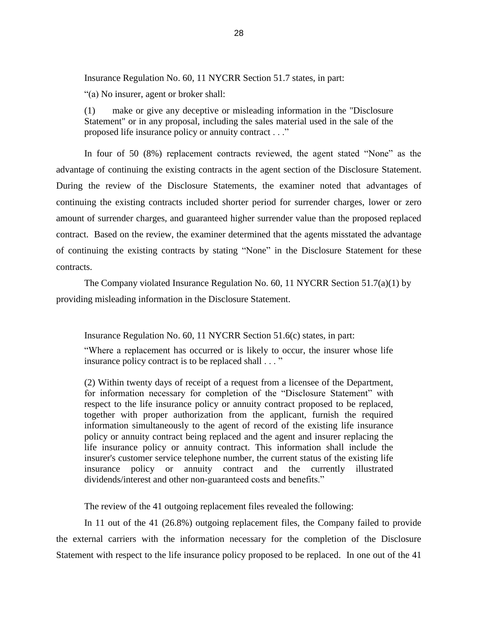Insurance Regulation No. 60, 11 NYCRR Section 51.7 states, in part:

"(a) No insurer, agent or broker shall:

 (1) make or give any deceptive or misleading information in the "Disclosure Statement" or in any proposal, including the sales material used in the sale of the proposed life insurance policy or annuity contract . . ."

 In four of 50 (8%) replacement contracts reviewed, the agent stated "None" as the amount of surrender charges, and guaranteed higher surrender value than the proposed replaced contract. Based on the review, the examiner determined that the agents misstated the advantage of continuing the existing contracts by stating "None" in the Disclosure Statement for these advantage of continuing the existing contracts in the agent section of the Disclosure Statement. During the review of the Disclosure Statements, the examiner noted that advantages of continuing the existing contracts included shorter period for surrender charges, lower or zero contracts.

The Company violated Insurance Regulation No. 60, 11 NYCRR Section 51.7(a)(1) by providing misleading information in the Disclosure Statement.

Insurance Regulation No. 60, 11 NYCRR Section 51.6(c) states, in part:

 "Where a replacement has occurred or is likely to occur, the insurer whose life insurance policy contract is to be replaced shall . . . "

 (2) Within twenty days of receipt of a request from a licensee of the Department, for information necessary for completion of the "Disclosure Statement" with respect to the life insurance policy or annuity contract proposed to be replaced, policy or annuity contract being replaced and the agent and insurer replacing the life insurance policy or annuity contract. This information shall include the insurer's customer service telephone number, the current status of the existing life insurance policy or annuity contract and the currently illustrated together with proper authorization from the applicant, furnish the required information simultaneously to the agent of record of the existing life insurance dividends/interest and other non-guaranteed costs and benefits."

The review of the 41 outgoing replacement files revealed the following:

 Statement with respect to the life insurance policy proposed to be replaced. In one out of the 41 In 11 out of the 41 (26.8%) outgoing replacement files, the Company failed to provide the external carriers with the information necessary for the completion of the Disclosure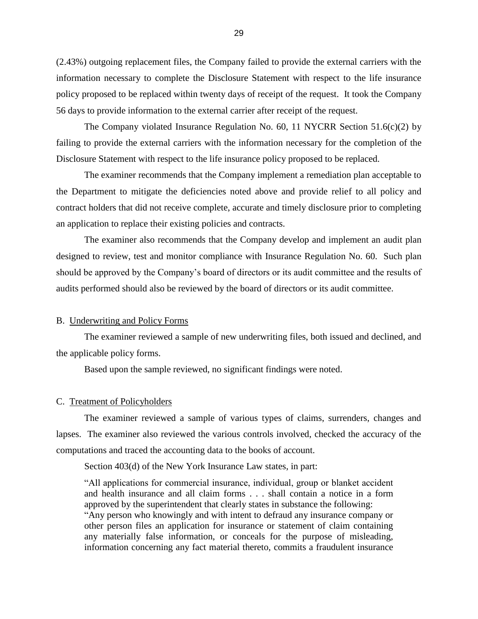<span id="page-31-0"></span> (2.43%) outgoing replacement files, the Company failed to provide the external carriers with the information necessary to complete the Disclosure Statement with respect to the life insurance policy proposed to be replaced within twenty days of receipt of the request. It took the Company 56 days to provide information to the external carrier after receipt of the request.

 The Company violated Insurance Regulation No. 60, 11 NYCRR Section 51.6(c)(2) by failing to provide the external carriers with the information necessary for the completion of the Disclosure Statement with respect to the life insurance policy proposed to be replaced.

 the Department to mitigate the deficiencies noted above and provide relief to all policy and contract holders that did not receive complete, accurate and timely disclosure prior to completing The examiner recommends that the Company implement a remediation plan acceptable to an application to replace their existing policies and contracts.

 should be approved by the Company's board of directors or its audit committee and the results of The examiner also recommends that the Company develop and implement an audit plan designed to review, test and monitor compliance with Insurance Regulation No. 60. Such plan audits performed should also be reviewed by the board of directors or its audit committee.

#### B. Underwriting and Policy Forms

 The examiner reviewed a sample of new underwriting files, both issued and declined, and the applicable policy forms.

Based upon the sample reviewed, no significant findings were noted.

#### C. Treatment of Policyholders

 The examiner reviewed a sample of various types of claims, surrenders, changes and lapses. The examiner also reviewed the various controls involved, checked the accuracy of the computations and traced the accounting data to the books of account.

Section 403(d) of the New York Insurance Law states, in part:

 "All applications for commercial insurance, individual, group or blanket accident and health insurance and all claim forms . . . shall contain a notice in a form "Any person who knowingly and with intent to defraud any insurance company or other person files an application for insurance or statement of claim containing any materially false information, or conceals for the purpose of misleading, approved by the superintendent that clearly states in substance the following: information concerning any fact material thereto, commits a fraudulent insurance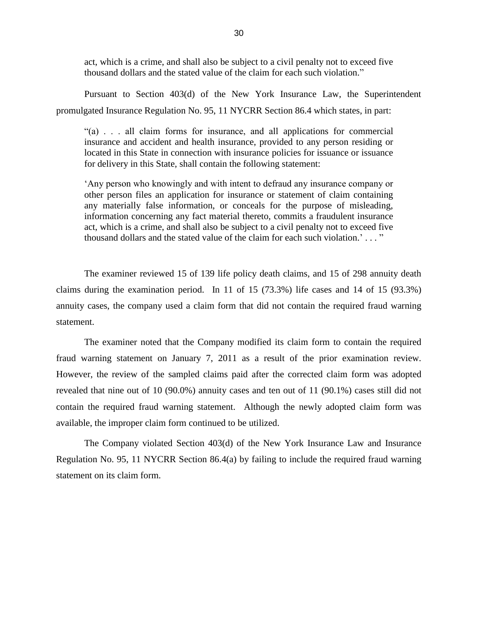act, which is a crime, and shall also be subject to a civil penalty not to exceed five thousand dollars and the stated value of the claim for each such violation."

 Pursuant to Section 403(d) of the New York Insurance Law, the Superintendent promulgated Insurance Regulation No. 95, 11 NYCRR Section 86.4 which states, in part:

 located in this State in connection with insurance policies for issuance or issuance "(a) . . . all claim forms for insurance, and all applications for commercial insurance and accident and health insurance, provided to any person residing or for delivery in this State, shall contain the following statement:

 'Any person who knowingly and with intent to defraud any insurance company or other person files an application for insurance or statement of claim containing any materially false information, or conceals for the purpose of misleading, act, which is a crime, and shall also be subject to a civil penalty not to exceed five information concerning any fact material thereto, commits a fraudulent insurance thousand dollars and the stated value of the claim for each such violation.'..."

 The examiner reviewed 15 of 139 life policy death claims, and 15 of 298 annuity death claims during the examination period. In 11 of 15 (73.3%) life cases and 14 of 15 (93.3%) annuity cases, the company used a claim form that did not contain the required fraud warning statement.

 fraud warning statement on January 7, 2011 as a result of the prior examination review. However, the review of the sampled claims paid after the corrected claim form was adopted revealed that nine out of 10 (90.0%) annuity cases and ten out of 11 (90.1%) cases still did not The examiner noted that the Company modified its claim form to contain the required contain the required fraud warning statement. Although the newly adopted claim form was available, the improper claim form continued to be utilized.

 The Company violated Section 403(d) of the New York Insurance Law and Insurance Regulation No. 95, 11 NYCRR Section 86.4(a) by failing to include the required fraud warning statement on its claim form.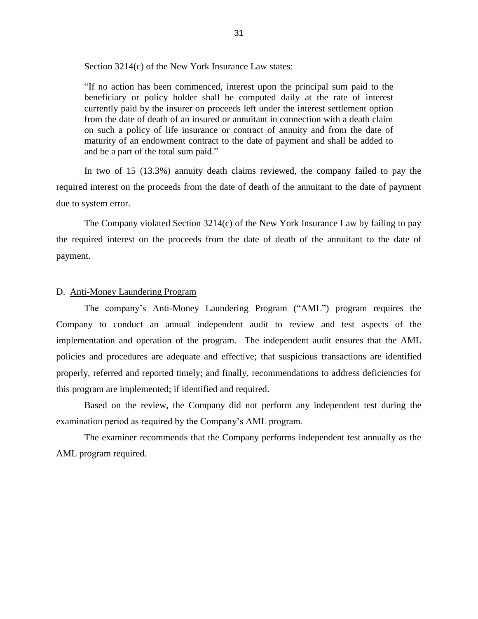<span id="page-33-0"></span>Section 3214(c) of the New York Insurance Law states:

 beneficiary or policy holder shall be computed daily at the rate of interest currently paid by the insurer on proceeds left under the interest settlement option from the date of death of an insured or annuitant in connection with a death claim on such a policy of life insurance or contract of annuity and from the date of maturity of an endowment contract to the date of payment and shall be added to "If no action has been commenced, interest upon the principal sum paid to the and be a part of the total sum paid."

 In two of 15 (13.3%) annuity death claims reviewed, the company failed to pay the due to system error. required interest on the proceeds from the date of death of the annuitant to the date of payment

due to system error.<br>The Company violated Section 3214(c) of the New York Insurance Law by failing to pay the required interest on the proceeds from the date of death of the annuitant to the date of payment.

#### D. Anti-Money Laundering Program

 The company's Anti-Money Laundering Program ("AML") program requires the properly, referred and reported timely; and finally, recommendations to address deficiencies for Company to conduct an annual independent audit to review and test aspects of the implementation and operation of the program. The independent audit ensures that the AML policies and procedures are adequate and effective; that suspicious transactions are identified this program are implemented; if identified and required.

Based on the review, the Company did not perform any independent test during the examination period as required by the Company's AML program.

 The examiner recommends that the Company performs independent test annually as the AML program required.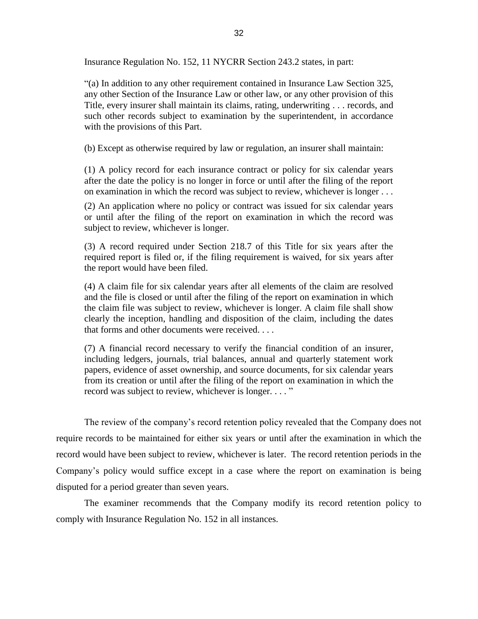Insurance Regulation No. 152, 11 NYCRR Section 243.2 states, in part:

 any other Section of the Insurance Law or other law, or any other provision of this Title, every insurer shall maintain its claims, rating, underwriting . . . records, and "(a) In addition to any other requirement contained in Insurance Law Section 325, such other records subject to examination by the superintendent, in accordance with the provisions of this Part.

(b) Except as otherwise required by law or regulation, an insurer shall maintain:

 (1) A policy record for each insurance contract or policy for six calendar years after the date the policy is no longer in force or until after the filing of the report on examination in which the record was subject to review, whichever is longer . . .

 (2) An application where no policy or contract was issued for six calendar years or until after the filing of the report on examination in which the record was subject to review, whichever is longer.

 (3) A record required under Section 218.7 of this Title for six years after the required report is filed or, if the filing requirement is waived, for six years after the report would have been filed.

 (4) A claim file for six calendar years after all elements of the claim are resolved the claim file was subject to review, whichever is longer. A claim file shall show and the file is closed or until after the filing of the report on examination in which clearly the inception, handling and disposition of the claim, including the dates that forms and other documents were received. . . .

 (7) A financial record necessary to verify the financial condition of an insurer, papers, evidence of asset ownership, and source documents, for six calendar years including ledgers, journals, trial balances, annual and quarterly statement work from its creation or until after the filing of the report on examination in which the record was subject to review, whichever is longer. . . . "

 The review of the company's record retention policy revealed that the Company does not record would have been subject to review, whichever is later. The record retention periods in the Company's policy would suffice except in a case where the report on examination is being require records to be maintained for either six years or until after the examination in which the disputed for a period greater than seven years.

 The examiner recommends that the Company modify its record retention policy to comply with Insurance Regulation No. 152 in all instances.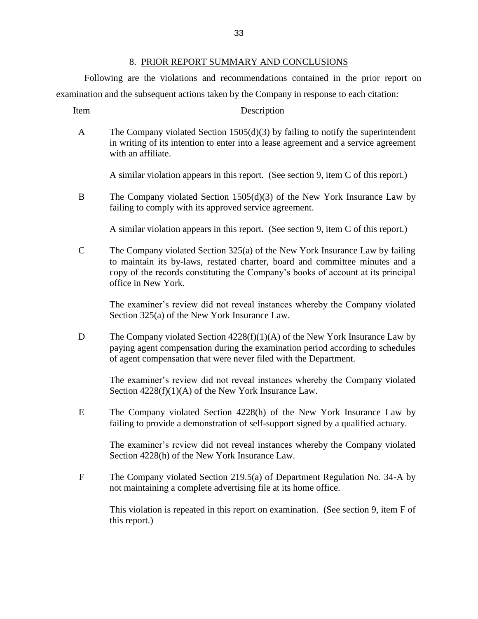#### 8. PRIOR REPORT SUMMARY AND CONCLUSIONS

<span id="page-35-0"></span>Following are the violations and recommendations contained in the prior report on examination and the subsequent actions taken by the Company in response to each citation:

Item Description

| $\mathsf{A}$ | The Company violated Section $1505(d)(3)$ by failing to notify the superintendent   |
|--------------|-------------------------------------------------------------------------------------|
|              | in writing of its intention to enter into a lease agreement and a service agreement |
|              | with an affiliate.                                                                  |

A similar violation appears in this report. (See section 9, item C of this report.)

B The Company violated Section 1505(d)(3) of the New York Insurance Law by failing to comply with its approved service agreement.

A similar violation appears in this report. (See section 9, item C of this report.)

 C The Company violated Section 325(a) of the New York Insurance Law by failing to maintain its by-laws, restated charter, board and committee minutes and a copy of the records constituting the Company's books of account at its principal office in New York.

 The examiner's review did not reveal instances whereby the Company violated Section 325(a) of the New York Insurance Law.

D The Company violated Section 4228(f)(1)(A) of the New York Insurance Law by paying agent compensation during the examination period according to schedules of agent compensation that were never filed with the Department.

 The examiner's review did not reveal instances whereby the Company violated Section 4228(f)(1)(A) of the New York Insurance Law.

 E The Company violated Section 4228(h) of the New York Insurance Law by failing to provide a demonstration of self-support signed by a qualified actuary.

 The examiner's review did not reveal instances whereby the Company violated Section 4228(h) of the New York Insurance Law.

F The Company violated Section 219.5(a) of Department Regulation No. 34-A by not maintaining a complete advertising file at its home office.

This violation is repeated in this report on examination. (See section 9, item F of this report.)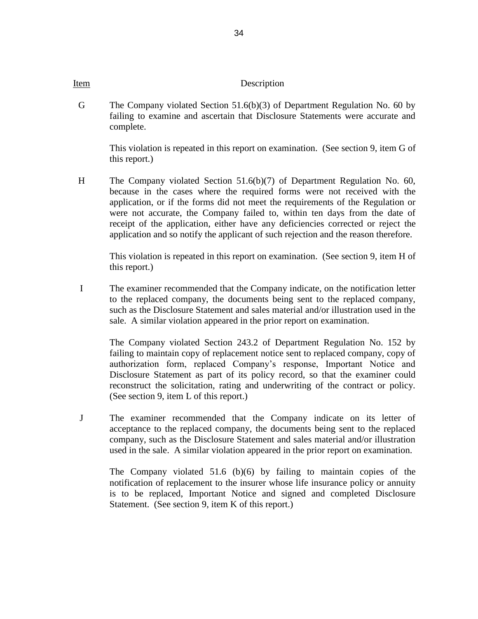#### Item Description

 G The Company violated Section 51.6(b)(3) of Department Regulation No. 60 by failing to examine and ascertain that Disclosure Statements were accurate and complete.

This violation is repeated in this report on examination. (See section 9, item G of this report.)

 H The Company violated Section 51.6(b)(7) of Department Regulation No. 60, receipt of the application, either have any deficiencies corrected or reject the because in the cases where the required forms were not received with the application, or if the forms did not meet the requirements of the Regulation or were not accurate, the Company failed to, within ten days from the date of application and so notify the applicant of such rejection and the reason therefore.

This violation is repeated in this report on examination. (See section 9, item H of this report.)

I The examiner recommended that the Company indicate, on the notification letter to the replaced company, the documents being sent to the replaced company, such as the Disclosure Statement and sales material and/or illustration used in the sale. A similar violation appeared in the prior report on examination.

 The Company violated Section 243.2 of Department Regulation No. 152 by failing to maintain copy of replacement notice sent to replaced company, copy of authorization form, replaced Company's response, Important Notice and Disclosure Statement as part of its policy record, so that the examiner could reconstruct the solicitation, rating and underwriting of the contract or policy. (See section 9, item L of this report.)

 J The examiner recommended that the Company indicate on its letter of company, such as the Disclosure Statement and sales material and/or illustration acceptance to the replaced company, the documents being sent to the replaced used in the sale. A similar violation appeared in the prior report on examination.

 The Company violated 51.6 (b)(6) by failing to maintain copies of the notification of replacement to the insurer whose life insurance policy or annuity is to be replaced, Important Notice and signed and completed Disclosure Statement. (See section 9, item K of this report.)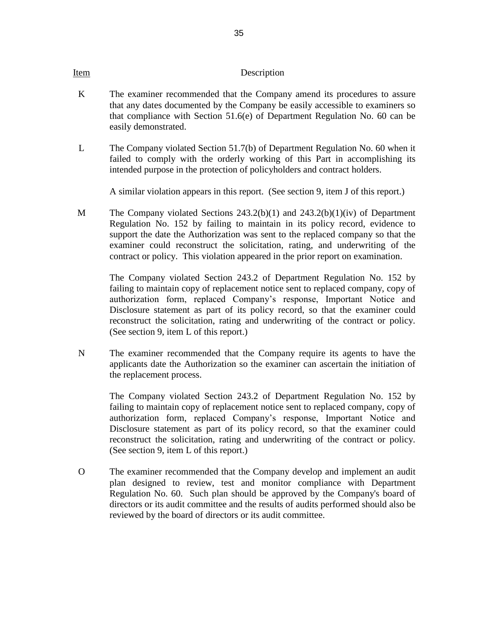#### Item Description

- that any dates documented by the Company be easily accessible to examiners so K The examiner recommended that the Company amend its procedures to assure that compliance with Section 51.6(e) of Department Regulation No. 60 can be easily demonstrated.
- L The Company violated Section 51.7(b) of Department Regulation No. 60 when it intended purpose in the protection of policyholders and contract holders. failed to comply with the orderly working of this Part in accomplishing its

A similar violation appears in this report. (See section 9, item J of this report.)

 M The Company violated Sections 243.2(b)(1) and 243.2(b)(1)(iv) of Department Regulation No. 152 by failing to maintain in its policy record, evidence to support the date the Authorization was sent to the replaced company so that the examiner could reconstruct the solicitation, rating, and underwriting of the contract or policy. This violation appeared in the prior report on examination.

 The Company violated Section 243.2 of Department Regulation No. 152 by failing to maintain copy of replacement notice sent to replaced company, copy of authorization form, replaced Company's response, Important Notice and Disclosure statement as part of its policy record, so that the examiner could reconstruct the solicitation, rating and underwriting of the contract or policy. (See section 9, item L of this report.)

 N The examiner recommended that the Company require its agents to have the applicants date the Authorization so the examiner can ascertain the initiation of the replacement process.

 The Company violated Section 243.2 of Department Regulation No. 152 by failing to maintain copy of replacement notice sent to replaced company, copy of authorization form, replaced Company's response, Important Notice and Disclosure statement as part of its policy record, so that the examiner could reconstruct the solicitation, rating and underwriting of the contract or policy. (See section 9, item L of this report.)

 Regulation No. 60. Such plan should be approved by the Company's board of O The examiner recommended that the Company develop and implement an audit plan designed to review, test and monitor compliance with Department directors or its audit committee and the results of audits performed should also be reviewed by the board of directors or its audit committee.

35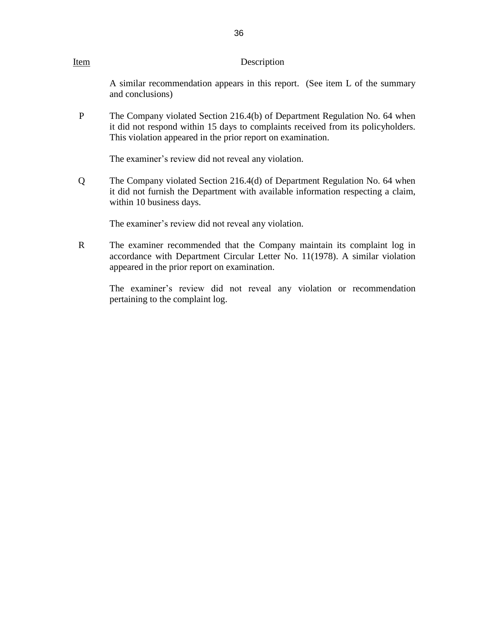#### Item Description

 A similar recommendation appears in this report. (See item L of the summary and conclusions)

P The Company violated Section 216.4(b) of Department Regulation No. 64 when it did not respond within 15 days to complaints received from its policyholders. This violation appeared in the prior report on examination.

The examiner's review did not reveal any violation.

 Q The Company violated Section 216.4(d) of Department Regulation No. 64 when it did not furnish the Department with available information respecting a claim, within 10 business days.

The examiner's review did not reveal any violation.

 R The examiner recommended that the Company maintain its complaint log in accordance with Department Circular Letter No. 11(1978). A similar violation appeared in the prior report on examination.

pertaining to the complaint log. The examiner's review did not reveal any violation or recommendation pertaining to the complaint log.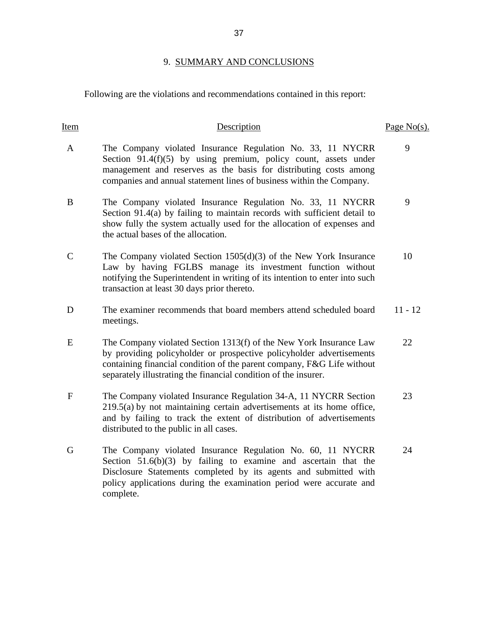# 9. SUMMARY AND CONCLUSIONS

<span id="page-39-0"></span>Following are the violations and recommendations contained in this report:

| Item        | Description                                                                                                                                                                                                                                                                             | Page $No(s)$ . |
|-------------|-----------------------------------------------------------------------------------------------------------------------------------------------------------------------------------------------------------------------------------------------------------------------------------------|----------------|
| A           | The Company violated Insurance Regulation No. 33, 11 NYCRR<br>Section 91.4(f)(5) by using premium, policy count, assets under<br>management and reserves as the basis for distributing costs among<br>companies and annual statement lines of business within the Company.              | 9              |
| B           | The Company violated Insurance Regulation No. 33, 11 NYCRR<br>Section 91.4(a) by failing to maintain records with sufficient detail to<br>show fully the system actually used for the allocation of expenses and<br>the actual bases of the allocation.                                 | 9              |
| $\mathbf C$ | The Company violated Section $1505(d)(3)$ of the New York Insurance<br>Law by having FGLBS manage its investment function without<br>notifying the Superintendent in writing of its intention to enter into such<br>transaction at least 30 days prior thereto.                         | 10             |
| D           | The examiner recommends that board members attend scheduled board<br>meetings.                                                                                                                                                                                                          | $11 - 12$      |
| E           | The Company violated Section 1313(f) of the New York Insurance Law<br>by providing policyholder or prospective policyholder advertisements<br>containing financial condition of the parent company, F&G Life without<br>separately illustrating the financial condition of the insurer. | 22             |
| $\mathbf F$ | The Company violated Insurance Regulation 34-A, 11 NYCRR Section<br>219.5(a) by not maintaining certain advertisements at its home office,<br>and by failing to track the extent of distribution of advertisements<br>distributed to the public in all cases.                           | 23             |
| G           | The Company violated Insurance Regulation No. 60, 11 NYCRR<br>Section $51.6(b)(3)$ by failing to examine and ascertain that the<br>Disclosure Statements completed by its agents and submitted with<br>policy applications during the examination period were accurate and<br>complete. | 24             |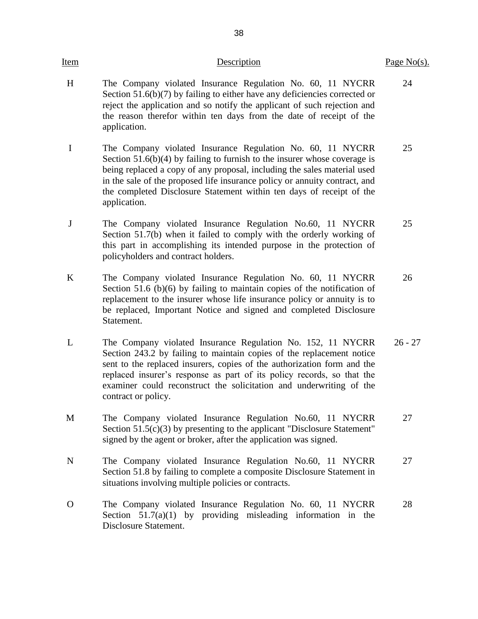| <u>Item</u> | Description                                                                                                                                                                                                                                                                                                                                                                                 | Page $No(s)$ . |
|-------------|---------------------------------------------------------------------------------------------------------------------------------------------------------------------------------------------------------------------------------------------------------------------------------------------------------------------------------------------------------------------------------------------|----------------|
| H           | The Company violated Insurance Regulation No. 60, 11 NYCRR<br>Section $51.6(b)(7)$ by failing to either have any deficiencies corrected or<br>reject the application and so notify the applicant of such rejection and<br>the reason therefor within ten days from the date of receipt of the<br>application.                                                                               | 24             |
| $\mathbf I$ | The Company violated Insurance Regulation No. 60, 11 NYCRR<br>Section $51.6(b)(4)$ by failing to furnish to the insurer whose coverage is<br>being replaced a copy of any proposal, including the sales material used<br>in the sale of the proposed life insurance policy or annuity contract, and<br>the completed Disclosure Statement within ten days of receipt of the<br>application. | 25             |
| J           | The Company violated Insurance Regulation No.60, 11 NYCRR<br>Section 51.7(b) when it failed to comply with the orderly working of<br>this part in accomplishing its intended purpose in the protection of<br>policyholders and contract holders.                                                                                                                                            | 25             |
| $\bf K$     | The Company violated Insurance Regulation No. 60, 11 NYCRR<br>Section 51.6 (b)(6) by failing to maintain copies of the notification of<br>replacement to the insurer whose life insurance policy or annuity is to<br>be replaced, Important Notice and signed and completed Disclosure<br>Statement.                                                                                        | 26             |
| L           | The Company violated Insurance Regulation No. 152, 11 NYCRR<br>Section 243.2 by failing to maintain copies of the replacement notice<br>sent to the replaced insurers, copies of the authorization form and the<br>replaced insurer's response as part of its policy records, so that the<br>examiner could reconstruct the solicitation and underwriting of the<br>contract or policy.     | $26 - 27$      |
| M           | The Company violated Insurance Regulation No.60, 11 NYCRR<br>Section $51.5(c)(3)$ by presenting to the applicant "Disclosure Statement"<br>signed by the agent or broker, after the application was signed.                                                                                                                                                                                 | 27             |
| $\mathbf N$ | The Company violated Insurance Regulation No.60, 11 NYCRR<br>Section 51.8 by failing to complete a composite Disclosure Statement in<br>situations involving multiple policies or contracts.                                                                                                                                                                                                | 27             |
| O           | The Company violated Insurance Regulation No. 60, 11 NYCRR<br>Section $51.7(a)(1)$ by providing misleading information in the<br>Disclosure Statement.                                                                                                                                                                                                                                      | 28             |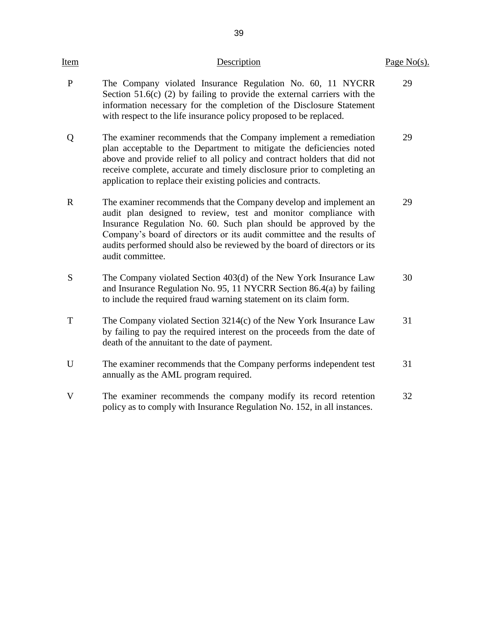| <u>Item</u>  | Description                                                                                                                                                                                                                                                                                                                                                                         | Page $No(s)$ . |
|--------------|-------------------------------------------------------------------------------------------------------------------------------------------------------------------------------------------------------------------------------------------------------------------------------------------------------------------------------------------------------------------------------------|----------------|
| $\mathbf{P}$ | The Company violated Insurance Regulation No. 60, 11 NYCRR<br>Section $51.6(c)$ (2) by failing to provide the external carriers with the<br>information necessary for the completion of the Disclosure Statement<br>with respect to the life insurance policy proposed to be replaced.                                                                                              | 29             |
| Q            | The examiner recommends that the Company implement a remediation<br>plan acceptable to the Department to mitigate the deficiencies noted<br>above and provide relief to all policy and contract holders that did not<br>receive complete, accurate and timely disclosure prior to completing an<br>application to replace their existing policies and contracts.                    | 29             |
| $\mathbf R$  | The examiner recommends that the Company develop and implement an<br>audit plan designed to review, test and monitor compliance with<br>Insurance Regulation No. 60. Such plan should be approved by the<br>Company's board of directors or its audit committee and the results of<br>audits performed should also be reviewed by the board of directors or its<br>audit committee. | 29             |
| S            | The Company violated Section 403(d) of the New York Insurance Law<br>and Insurance Regulation No. 95, 11 NYCRR Section 86.4(a) by failing<br>to include the required fraud warning statement on its claim form.                                                                                                                                                                     | 30             |
| T            | The Company violated Section 3214(c) of the New York Insurance Law<br>by failing to pay the required interest on the proceeds from the date of<br>death of the annuitant to the date of payment.                                                                                                                                                                                    | 31             |
| U            | The examiner recommends that the Company performs independent test<br>annually as the AML program required.                                                                                                                                                                                                                                                                         | 31             |
| V            | The examiner recommends the company modify its record retention<br>policy as to comply with Insurance Regulation No. 152, in all instances.                                                                                                                                                                                                                                         | 32             |
|              |                                                                                                                                                                                                                                                                                                                                                                                     |                |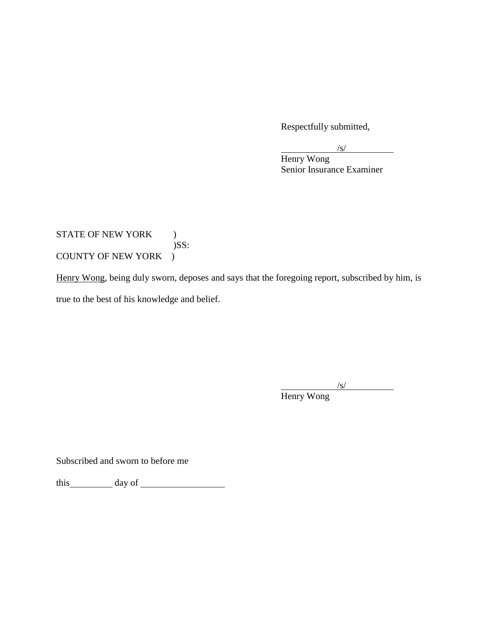Respectfully submitted,

 $\sqrt{s}$ /

Henry Wong Senior Insurance Examiner

# STATE OF NEW YORK ) )SS: COUNTY OF NEW YORK )

Henry Wong, being duly sworn, deposes and says that the foregoing report, subscribed by him, is true to the best of his knowledge and belief.

> /s/ Henry Wong

Subscribed and sworn to before me

this day of